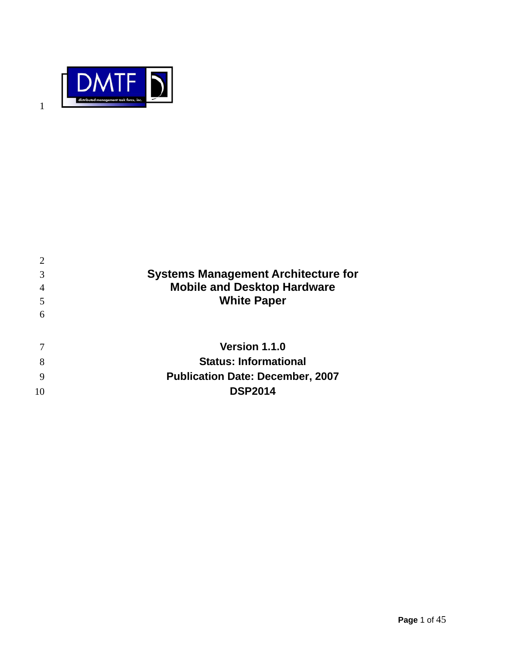

| 3  | <b>Systems Management Architecture for</b> |
|----|--------------------------------------------|
|    | <b>Mobile and Desktop Hardware</b>         |
| 5  | <b>White Paper</b>                         |
| 6  |                                            |
|    |                                            |
|    | <b>Version 1.1.0</b>                       |
| 8  | <b>Status: Informational</b>               |
|    | <b>Publication Date: December, 2007</b>    |
| 10 | <b>DSP2014</b>                             |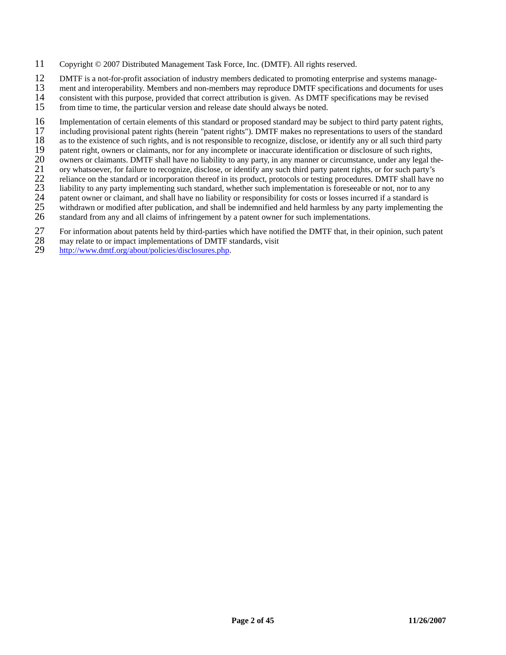- 11 Copyright © 2007 Distributed Management Task Force, Inc. (DMTF). All rights reserved.
- 12 DMTF is a not-for-profit association of industry members dedicated to promoting enterprise and systems manage-<br>13 ment and interoperability. Members and non-members may reproduce DMTF specifications and documents for us
- 
- 13 ment and interoperability. Members and non-members may reproduce DMTF specifications and documents for uses<br>14 consistent with this purpose, provided that correct attribution is given. As DMTF specifications may be revi 14 consistent with this purpose, provided that correct attribution is given. As DMTF specifications may be revised
- 15 from time to time, the particular version and release date should always be noted.
- 16 Implementation of certain elements of this standard or proposed standard may be subject to third party patent rights,<br>17 including provisional patent rights (herein "patent rights"). DMTF makes no representations to use
- 17 including provisional patent rights (herein "patent rights"). DMTF makes no representations to users of the standard as to the existence of such rights, and is not responsible to recognize, disclose, or identify any or
- 18 as to the existence of such rights, and is not responsible to recognize, disclose, or identify any or all such third party<br>19 patent right, owners or claimants, nor for any incomplete or inaccurate identification or dis
- 19 patent right, owners or claimants, nor for any incomplete or inaccurate identification or disclosure of such rights,<br>20 owners or claimants. DMTF shall have no liability to any party, in any manner or circumstance, unde
- 20 owners or claimants. DMTF shall have no liability to any party, in any manner or circumstance, under any legal the-<br>21 ory whatsoever, for failure to recognize, disclose, or identify any such third party patent rights,
- 21 ory whatsoever, for failure to recognize, disclose, or identify any such third party patent rights, or for such party's reliance on the standard or incorporation thereof in its product, protocols or testing procedures.
- 22 reliance on the standard or incorporation thereof in its product, protocols or testing procedures. DMTF shall have no<br>23 liability to any party implementing such standard, whether such implementation is foreseeable or n
- 23 liability to any party implementing such standard, whether such implementation is foreseeable or not, nor to any<br>24 patent owner or claimant, and shall have no liability or responsibility for costs or losses incurred if
- 24 patent owner or claimant, and shall have no liability or responsibility for costs or losses incurred if a standard is<br>25 withdrawn or modified after publication, and shall be indemnified and held harmless by any party i
- 25 withdrawn or modified after publication, and shall be indemnified and held harmless by any party implementing the standard from any and all claims of infringement by a patent owner for such implementations. standard from any and all claims of infringement by a patent owner for such implementations.
- 27 For information about patents held by third-parties which have notified the DMTF that, in their opinion, such patent may relate to or impact implementations of DMTF standards, visit
- 28 may relate to or impact implementations of DMTF standards, visit  $29$  http://www.dmtf.org/about/policies/disclosures.php.
- http://www.dmtf.org/about/policies/disclosures.php.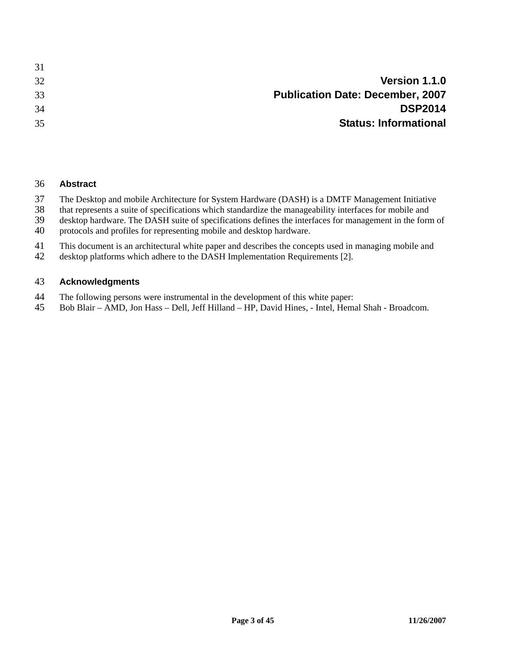| 31 |                                         |
|----|-----------------------------------------|
| 32 | Version 1.1.0                           |
| 33 | <b>Publication Date: December, 2007</b> |
| 34 | <b>DSP2014</b>                          |
| 35 | <b>Status: Informational</b>            |
|    |                                         |

#### 36 **Abstract**

- 37 The Desktop and mobile Architecture for System Hardware (DASH) is a DMTF Management Initiative<br>38 that represents a suite of specifications which standardize the manageability interfaces for mobile and
- 38 that represents a suite of specifications which standardize the manageability interfaces for mobile and<br>39 desktop hardware. The DASH suite of specifications defines the interfaces for management in the forn
- desktop hardware. The DASH suite of specifications defines the interfaces for management in the form of
- 40 protocols and profiles for representing mobile and desktop hardware.
- 41 This document is an architectural white paper and describes the concepts used in managing mobile and
- 42 desktop platforms which adhere to the DASH Implementation Requirements [2].

#### 43 **Acknowledgments**

- 44 The following persons were instrumental in the development of this white paper:<br>45 Bob Blair AMD. Jon Hass Dell. Jeff Hilland HP. David Hines. Intel. Hema
- 45 Bob Blair AMD, Jon Hass Dell, Jeff Hilland HP, David Hines, Intel, Hemal Shah Broadcom.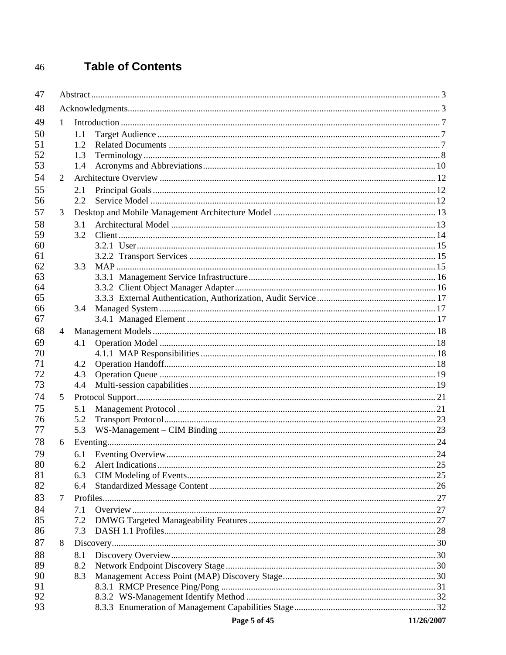#### **Table of Contents** 46

| 47       |                |                                                              |  |  |
|----------|----------------|--------------------------------------------------------------|--|--|
| 48       |                |                                                              |  |  |
| 49       | 1              |                                                              |  |  |
| 50       |                | 1.1                                                          |  |  |
| 51       |                | 1.2                                                          |  |  |
| 52       |                | 1.3                                                          |  |  |
| 53       |                | 1.4                                                          |  |  |
| 54       | $\overline{2}$ |                                                              |  |  |
| 55       |                | 2.1                                                          |  |  |
| 56       |                | 2.2                                                          |  |  |
| 57       | 3              |                                                              |  |  |
| 58       |                | 3.1                                                          |  |  |
| 59       |                | 3.2                                                          |  |  |
| 60       |                |                                                              |  |  |
| 61       |                |                                                              |  |  |
| 62       |                | 3.3                                                          |  |  |
| 63       |                |                                                              |  |  |
| 64       |                |                                                              |  |  |
| 65<br>66 |                | 3.4                                                          |  |  |
| 67       |                |                                                              |  |  |
| 68       | $\overline{4}$ |                                                              |  |  |
| 69       |                | 4.1                                                          |  |  |
| 70       |                |                                                              |  |  |
| 71       |                | 4.2                                                          |  |  |
| 72       |                | 4.3                                                          |  |  |
| 73       |                | 4.4                                                          |  |  |
| 74       | 5              |                                                              |  |  |
| 75       |                | 5.1                                                          |  |  |
| 76       |                | 5.2                                                          |  |  |
| 77       |                | 5.3                                                          |  |  |
| 78       | 6              |                                                              |  |  |
| 79       |                | 6.1                                                          |  |  |
| 80       |                | 6.2                                                          |  |  |
| 81       |                | 6.3                                                          |  |  |
| 82       |                | 6.4                                                          |  |  |
| 83       | 7              |                                                              |  |  |
| 84       |                | 7.1                                                          |  |  |
| 85       |                | 7.2                                                          |  |  |
| 86       |                | 7.3                                                          |  |  |
| 87       | 8              |                                                              |  |  |
| 88       |                | 8.1                                                          |  |  |
| 89       |                | 8.2                                                          |  |  |
| 90       |                | 8.3                                                          |  |  |
| 91       |                |                                                              |  |  |
| 92       |                |                                                              |  |  |
| 93       |                |                                                              |  |  |
|          |                | $P_{0.005}$ $\leq$ $\frac{6}{5}$ $\frac{45}{5}$ (11/26/2007) |  |  |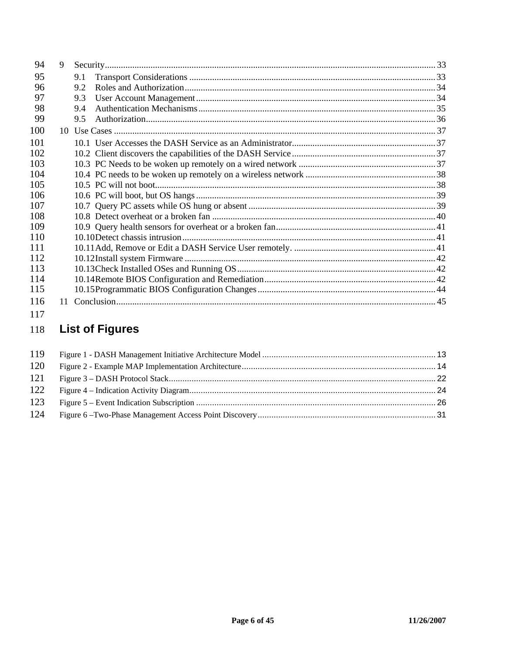| 94  | 9               |     |
|-----|-----------------|-----|
| 95  |                 | 9.1 |
| 96  |                 | 9.2 |
| 97  |                 | 9.3 |
| 98  |                 | 9.4 |
| 99  |                 | 9.5 |
| 100 | 10 <sup>1</sup> |     |
| 101 |                 |     |
| 102 |                 |     |
| 103 |                 |     |
| 104 |                 |     |
| 105 |                 |     |
| 106 |                 |     |
| 107 |                 |     |
| 108 |                 |     |
| 109 |                 |     |
| 110 |                 |     |
| 111 |                 |     |
| 112 |                 |     |
| 113 |                 |     |
| 114 |                 |     |
| 115 |                 |     |
| 116 | 11              |     |

#### 117

#### **List of Figures** 118

| 119 |  |
|-----|--|
| 120 |  |
| 121 |  |
| 122 |  |
| 123 |  |
| 124 |  |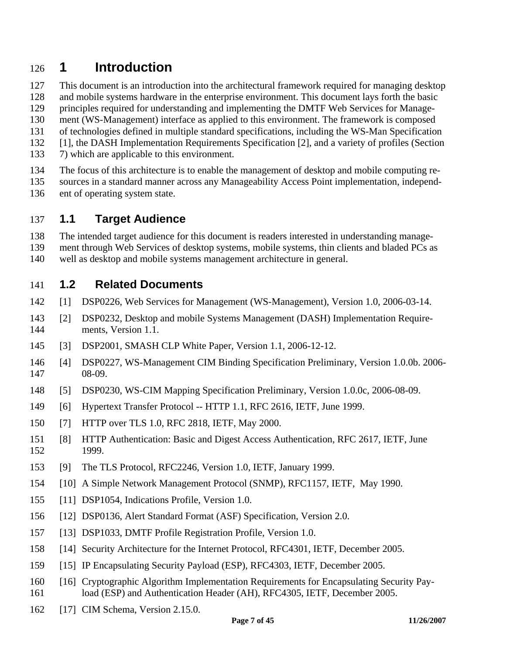## 126 **1 Introduction**

- 127 This document is an introduction into the architectural framework required for managing desktop
- 128 and mobile systems hardware in the enterprise environment. This document lays forth the basic
- 129 principles required for understanding and implementing the DMTF Web Services for Manage-
- 130 ment (WS-Management) interface as applied to this environment. The framework is composed
- 131 of technologies defined in multiple standard specifications, including the WS-Man Specification
- 132 [1], the DASH Implementation Requirements Specification [2], and a variety of profiles (Section
- 133 7) which are applicable to this environment.
- 134 The focus of this architecture is to enable the management of desktop and mobile computing re-
- 135 sources in a standard manner across any Manageability Access Point implementation, independ-
- 136 ent of operating system state.

### 137 **1.1 Target Audience**

138 The intended target audience for this document is readers interested in understanding manage-

- 139 ment through Web Services of desktop systems, mobile systems, thin clients and bladed PCs as
- 140 well as desktop and mobile systems management architecture in general.

### 141 **1.2 Related Documents**

- 142 [1] DSP0226, Web Services for Management (WS-Management), Version 1.0, 2006-03-14.
- 143 [2] DSP0232, Desktop and mobile Systems Management (DASH) Implementation Require-144 ments, Version 1.1.
- 145 [3] DSP2001, SMASH CLP White Paper, Version 1.1, 2006-12-12.
- 146 [4] DSP0227, WS-Management CIM Binding Specification Preliminary, Version 1.0.0b. 2006- 147 08-09.
- 148 [5] DSP0230, WS-CIM Mapping Specification Preliminary, Version 1.0.0c, 2006-08-09.
- 149 [6] Hypertext Transfer Protocol -- HTTP 1.1, RFC 2616, IETF, June 1999.
- 150 [7] HTTP over TLS 1.0, RFC 2818, IETF, May 2000.
- 151 [8] HTTP Authentication: Basic and Digest Access Authentication, RFC 2617, IETF, June 152 1999.
- 153 [9] The TLS Protocol, RFC2246, Version 1.0, IETF, January 1999.
- 154 [10] A Simple Network Management Protocol (SNMP), RFC1157, IETF, May 1990.
- 155 [11] DSP1054, Indications Profile, Version 1.0.
- 156 [12] DSP0136, Alert Standard Format (ASF) Specification, Version 2.0.
- 157 [13] DSP1033, DMTF Profile Registration Profile, Version 1.0.
- 158 [14] Security Architecture for the Internet Protocol, RFC4301, IETF, December 2005.
- 159 [15] IP Encapsulating Security Payload (ESP), RFC4303, IETF, December 2005.
- 160 [16] Cryptographic Algorithm Implementation Requirements for Encapsulating Security Pay-161 load (ESP) and Authentication Header (AH), RFC4305, IETF, December 2005.
- 162 [17] CIM Schema, Version 2.15.0.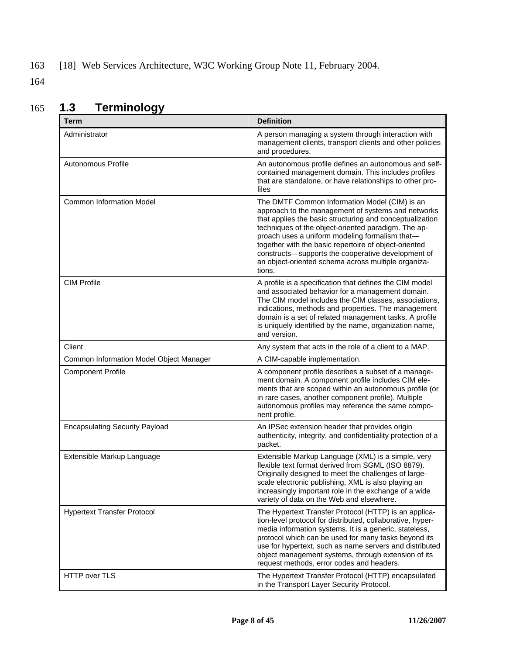## 163 [18] Web Services Architecture, W3C Working Group Note 11, February 2004.

164

| <b>Term</b>                             | <b>Definition</b>                                                                                                                                                                                                                                                                                                                                                                                                                                        |
|-----------------------------------------|----------------------------------------------------------------------------------------------------------------------------------------------------------------------------------------------------------------------------------------------------------------------------------------------------------------------------------------------------------------------------------------------------------------------------------------------------------|
| Administrator                           | A person managing a system through interaction with<br>management clients, transport clients and other policies<br>and procedures.                                                                                                                                                                                                                                                                                                                       |
| Autonomous Profile                      | An autonomous profile defines an autonomous and self-<br>contained management domain. This includes profiles<br>that are standalone, or have relationships to other pro-<br>files                                                                                                                                                                                                                                                                        |
| <b>Common Information Model</b>         | The DMTF Common Information Model (CIM) is an<br>approach to the management of systems and networks<br>that applies the basic structuring and conceptualization<br>techniques of the object-oriented paradigm. The ap-<br>proach uses a uniform modeling formalism that-<br>together with the basic repertoire of object-oriented<br>constructs-supports the cooperative development of<br>an object-oriented schema across multiple organiza-<br>tions. |
| <b>CIM Profile</b>                      | A profile is a specification that defines the CIM model<br>and associated behavior for a management domain.<br>The CIM model includes the CIM classes, associations,<br>indications, methods and properties. The management<br>domain is a set of related management tasks. A profile<br>is uniquely identified by the name, organization name,<br>and version.                                                                                          |
| Client                                  | Any system that acts in the role of a client to a MAP.                                                                                                                                                                                                                                                                                                                                                                                                   |
| Common Information Model Object Manager | A CIM-capable implementation.                                                                                                                                                                                                                                                                                                                                                                                                                            |
| <b>Component Profile</b>                | A component profile describes a subset of a manage-<br>ment domain. A component profile includes CIM ele-<br>ments that are scoped within an autonomous profile (or<br>in rare cases, another component profile). Multiple<br>autonomous profiles may reference the same compo-<br>nent profile.                                                                                                                                                         |
| <b>Encapsulating Security Payload</b>   | An IPSec extension header that provides origin<br>authenticity, integrity, and confidentiality protection of a<br>packet.                                                                                                                                                                                                                                                                                                                                |
| Extensible Markup Language              | Extensible Markup Language (XML) is a simple, very<br>flexible text format derived from SGML (ISO 8879).<br>Originally designed to meet the challenges of large-<br>scale electronic publishing, XML is also playing an<br>increasingly important role in the exchange of a wide<br>variety of data on the Web and elsewhere.                                                                                                                            |
| <b>Hypertext Transfer Protocol</b>      | The Hypertext Transfer Protocol (HTTP) is an applica-<br>tion-level protocol for distributed, collaborative, hyper-<br>media information systems. It is a generic, stateless,<br>protocol which can be used for many tasks beyond its<br>use for hypertext, such as name servers and distributed<br>object management systems, through extension of its<br>request methods, error codes and headers.                                                     |
| HTTP over TLS                           | The Hypertext Transfer Protocol (HTTP) encapsulated<br>in the Transport Layer Security Protocol.                                                                                                                                                                                                                                                                                                                                                         |

## 165 **1.3 Terminology**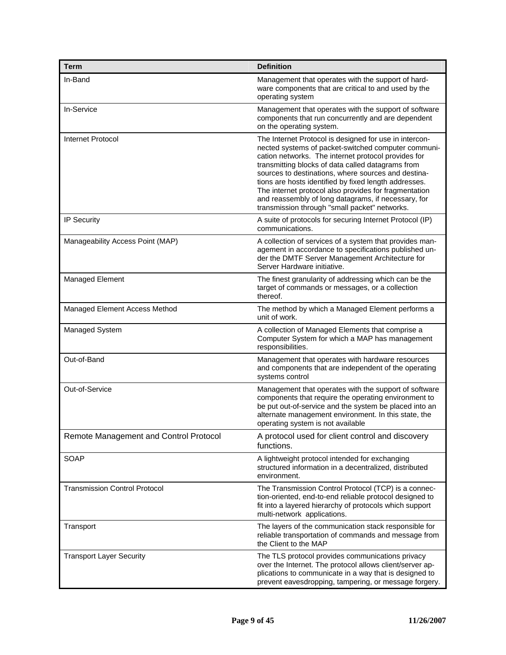| <b>Term</b>                            | <b>Definition</b>                                                                                                                                                                                                                                                                                                                                                                                                                                                                                          |
|----------------------------------------|------------------------------------------------------------------------------------------------------------------------------------------------------------------------------------------------------------------------------------------------------------------------------------------------------------------------------------------------------------------------------------------------------------------------------------------------------------------------------------------------------------|
| In-Band                                | Management that operates with the support of hard-<br>ware components that are critical to and used by the<br>operating system                                                                                                                                                                                                                                                                                                                                                                             |
| In-Service                             | Management that operates with the support of software<br>components that run concurrently and are dependent<br>on the operating system.                                                                                                                                                                                                                                                                                                                                                                    |
| <b>Internet Protocol</b>               | The Internet Protocol is designed for use in intercon-<br>nected systems of packet-switched computer communi-<br>cation networks. The internet protocol provides for<br>transmitting blocks of data called datagrams from<br>sources to destinations, where sources and destina-<br>tions are hosts identified by fixed length addresses.<br>The internet protocol also provides for fragmentation<br>and reassembly of long datagrams, if necessary, for<br>transmission through "small packet" networks. |
| <b>IP Security</b>                     | A suite of protocols for securing Internet Protocol (IP)<br>communications.                                                                                                                                                                                                                                                                                                                                                                                                                                |
| Manageability Access Point (MAP)       | A collection of services of a system that provides man-<br>agement in accordance to specifications published un-<br>der the DMTF Server Management Architecture for<br>Server Hardware initiative.                                                                                                                                                                                                                                                                                                         |
| Managed Element                        | The finest granularity of addressing which can be the<br>target of commands or messages, or a collection<br>thereof.                                                                                                                                                                                                                                                                                                                                                                                       |
| Managed Element Access Method          | The method by which a Managed Element performs a<br>unit of work.                                                                                                                                                                                                                                                                                                                                                                                                                                          |
| Managed System                         | A collection of Managed Elements that comprise a<br>Computer System for which a MAP has management<br>responsibilities.                                                                                                                                                                                                                                                                                                                                                                                    |
| Out-of-Band                            | Management that operates with hardware resources<br>and components that are independent of the operating<br>systems control                                                                                                                                                                                                                                                                                                                                                                                |
| Out-of-Service                         | Management that operates with the support of software<br>components that require the operating environment to<br>be put out-of-service and the system be placed into an<br>alternate management environment. In this state, the<br>operating system is not available                                                                                                                                                                                                                                       |
| Remote Management and Control Protocol | A protocol used for client control and discovery<br>functions.                                                                                                                                                                                                                                                                                                                                                                                                                                             |
| SOAP                                   | A lightweight protocol intended for exchanging<br>structured information in a decentralized, distributed<br>environment.                                                                                                                                                                                                                                                                                                                                                                                   |
| <b>Transmission Control Protocol</b>   | The Transmission Control Protocol (TCP) is a connec-<br>tion-oriented, end-to-end reliable protocol designed to<br>fit into a layered hierarchy of protocols which support<br>multi-network applications.                                                                                                                                                                                                                                                                                                  |
| Transport                              | The layers of the communication stack responsible for<br>reliable transportation of commands and message from<br>the Client to the MAP                                                                                                                                                                                                                                                                                                                                                                     |
| <b>Transport Layer Security</b>        | The TLS protocol provides communications privacy<br>over the Internet. The protocol allows client/server ap-<br>plications to communicate in a way that is designed to<br>prevent eavesdropping, tampering, or message forgery.                                                                                                                                                                                                                                                                            |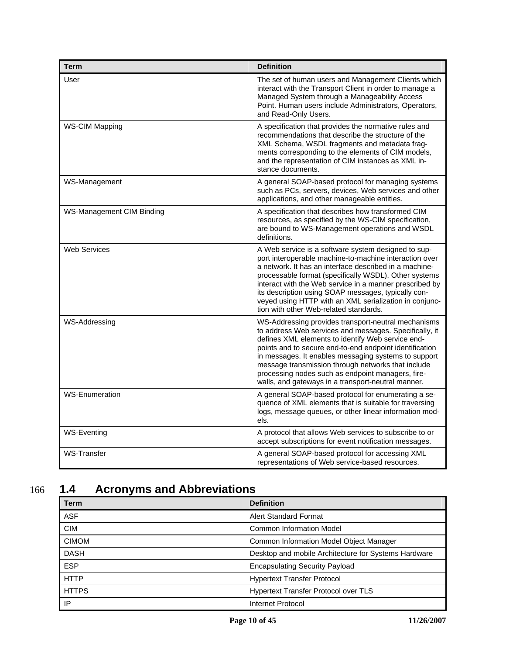| <b>Term</b>               | <b>Definition</b>                                                                                                                                                                                                                                                                                                                                                                                                                                      |
|---------------------------|--------------------------------------------------------------------------------------------------------------------------------------------------------------------------------------------------------------------------------------------------------------------------------------------------------------------------------------------------------------------------------------------------------------------------------------------------------|
| User                      | The set of human users and Management Clients which<br>interact with the Transport Client in order to manage a<br>Managed System through a Manageability Access<br>Point. Human users include Administrators, Operators,<br>and Read-Only Users.                                                                                                                                                                                                       |
| <b>WS-CIM Mapping</b>     | A specification that provides the normative rules and<br>recommendations that describe the structure of the<br>XML Schema, WSDL fragments and metadata frag-<br>ments corresponding to the elements of CIM models,<br>and the representation of CIM instances as XML in-<br>stance documents.                                                                                                                                                          |
| WS-Management             | A general SOAP-based protocol for managing systems<br>such as PCs, servers, devices, Web services and other<br>applications, and other manageable entities.                                                                                                                                                                                                                                                                                            |
| WS-Management CIM Binding | A specification that describes how transformed CIM<br>resources, as specified by the WS-CIM specification,<br>are bound to WS-Management operations and WSDL<br>definitions.                                                                                                                                                                                                                                                                           |
| <b>Web Services</b>       | A Web service is a software system designed to sup-<br>port interoperable machine-to-machine interaction over<br>a network. It has an interface described in a machine-<br>processable format (specifically WSDL). Other systems<br>interact with the Web service in a manner prescribed by<br>its description using SOAP messages, typically con-<br>veyed using HTTP with an XML serialization in conjunc-<br>tion with other Web-related standards. |
| WS-Addressing             | WS-Addressing provides transport-neutral mechanisms<br>to address Web services and messages. Specifically, it<br>defines XML elements to identify Web service end-<br>points and to secure end-to-end endpoint identification<br>in messages. It enables messaging systems to support<br>message transmission through networks that include<br>processing nodes such as endpoint managers, fire-<br>walls, and gateways in a transport-neutral manner. |
| <b>WS-Enumeration</b>     | A general SOAP-based protocol for enumerating a se-<br>quence of XML elements that is suitable for traversing<br>logs, message queues, or other linear information mod-<br>els.                                                                                                                                                                                                                                                                        |
| <b>WS-Eventing</b>        | A protocol that allows Web services to subscribe to or<br>accept subscriptions for event notification messages.                                                                                                                                                                                                                                                                                                                                        |
| <b>WS-Transfer</b>        | A general SOAP-based protocol for accessing XML<br>representations of Web service-based resources.                                                                                                                                                                                                                                                                                                                                                     |

## 166 **1.4 Acronyms and Abbreviations**

| Term         | <b>Definition</b>                                    |  |
|--------------|------------------------------------------------------|--|
| <b>ASF</b>   | Alert Standard Format                                |  |
| <b>CIM</b>   | Common Information Model                             |  |
| <b>CIMOM</b> | Common Information Model Object Manager              |  |
| <b>DASH</b>  | Desktop and mobile Architecture for Systems Hardware |  |
| <b>ESP</b>   | <b>Encapsulating Security Payload</b>                |  |
| <b>HTTP</b>  | <b>Hypertext Transfer Protocol</b>                   |  |
| <b>HTTPS</b> | <b>Hypertext Transfer Protocol over TLS</b>          |  |
| IP           | Internet Protocol                                    |  |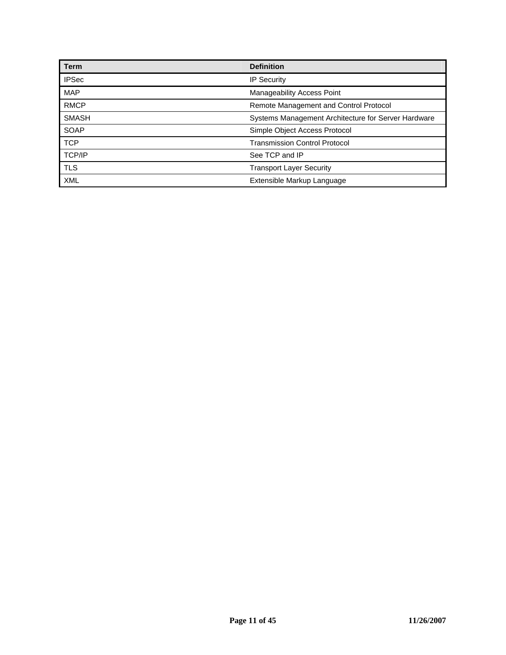| <b>Term</b>   | <b>Definition</b>                                   |  |
|---------------|-----------------------------------------------------|--|
| <b>IPSec</b>  | <b>IP Security</b>                                  |  |
| <b>MAP</b>    | Manageability Access Point                          |  |
| <b>RMCP</b>   | Remote Management and Control Protocol              |  |
| <b>SMASH</b>  | Systems Management Architecture for Server Hardware |  |
| SOAP          | Simple Object Access Protocol                       |  |
| <b>TCP</b>    | <b>Transmission Control Protocol</b>                |  |
| <b>TCP/IP</b> | See TCP and IP                                      |  |
| <b>TLS</b>    | <b>Transport Layer Security</b>                     |  |
| <b>XML</b>    | Extensible Markup Language                          |  |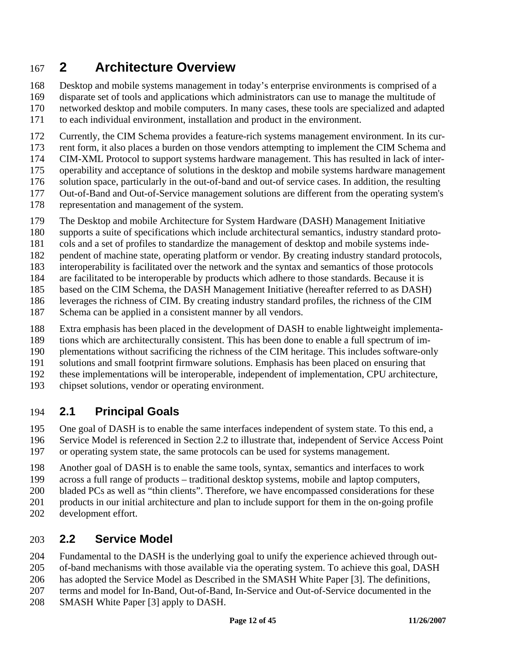# 167 **2 Architecture Overview**

168 Desktop and mobile systems management in today's enterprise environments is comprised of a 169 disparate set of tools and applications which administrators can use to manage the multitude of 170 networked desktop and mobile computers. In many cases, these tools are specialized and adapted 171 to each individual environment, installation and product in the environment.

172 Currently, the CIM Schema provides a feature-rich systems management environment. In its cur-

173 rent form, it also places a burden on those vendors attempting to implement the CIM Schema and

- 174 CIM-XML Protocol to support systems hardware management. This has resulted in lack of inter-
- 175 operability and acceptance of solutions in the desktop and mobile systems hardware management
- 176 solution space, particularly in the out-of-band and out-of service cases. In addition, the resulting
- 177 Out-of-Band and Out-of-Service management solutions are different from the operating system's
- 178 representation and management of the system.
- 179 The Desktop and mobile Architecture for System Hardware (DASH) Management Initiative
- 180 supports a suite of specifications which include architectural semantics, industry standard proto-
- 181 cols and a set of profiles to standardize the management of desktop and mobile systems inde-
- 182 pendent of machine state, operating platform or vendor. By creating industry standard protocols,
- 183 interoperability is facilitated over the network and the syntax and semantics of those protocols
- 184 are facilitated to be interoperable by products which adhere to those standards. Because it is
- 185 based on the CIM Schema, the DASH Management Initiative (hereafter referred to as DASH)
- 186 leverages the richness of CIM. By creating industry standard profiles, the richness of the CIM
- 187 Schema can be applied in a consistent manner by all vendors.
- 188 Extra emphasis has been placed in the development of DASH to enable lightweight implementa-
- 189 tions which are architecturally consistent. This has been done to enable a full spectrum of im-
- 190 plementations without sacrificing the richness of the CIM heritage. This includes software-only
- 191 solutions and small footprint firmware solutions. Emphasis has been placed on ensuring that
- 192 these implementations will be interoperable, independent of implementation, CPU architecture,
- 193 chipset solutions, vendor or operating environment.

## 194 **2.1 Principal Goals**

195 One goal of DASH is to enable the same interfaces independent of system state. To this end, a 196 Service Model is referenced in Section 2.2 to illustrate that, independent of Service Access Point 197 or operating system state, the same protocols can be used for systems management.

- 198 Another goal of DASH is to enable the same tools, syntax, semantics and interfaces to work
- 199 across a full range of products traditional desktop systems, mobile and laptop computers,
- 200 bladed PCs as well as "thin clients". Therefore, we have encompassed considerations for these
- 201 products in our initial architecture and plan to include support for them in the on-going profile
- 202 development effort.

## 203 **2.2 Service Model**

204 Fundamental to the DASH is the underlying goal to unify the experience achieved through out-205 of-band mechanisms with those available via the operating system. To achieve this goal, DASH 206 has adopted the Service Model as Described in the SMASH White Paper [3]. The definitions, 207 terms and model for In-Band, Out-of-Band, In-Service and Out-of-Service documented in the

208 SMASH White Paper [3] apply to DASH.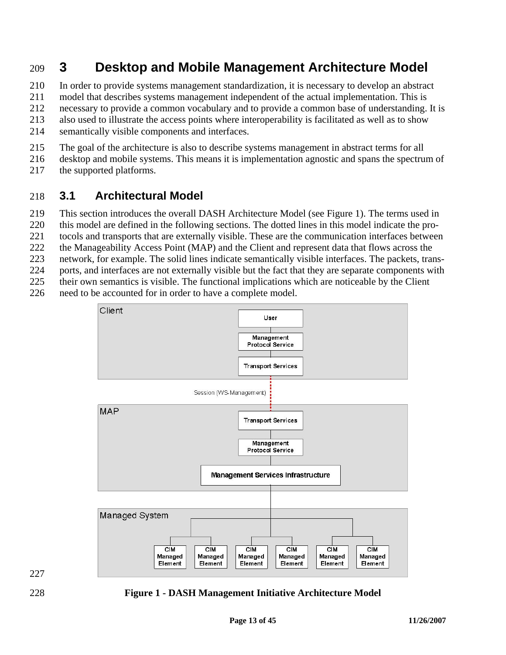## 209 **3 Desktop and Mobile Management Architecture Model**

210 In order to provide systems management standardization, it is necessary to develop an abstract

211 model that describes systems management independent of the actual implementation. This is

212 necessary to provide a common vocabulary and to provide a common base of understanding. It is

213 also used to illustrate the access points where interoperability is facilitated as well as to show

214 semantically visible components and interfaces.

215 The goal of the architecture is also to describe systems management in abstract terms for all

- 216 desktop and mobile systems. This means it is implementation agnostic and spans the spectrum of
- 217 the supported platforms.

## 218 **3.1 Architectural Model**

219 This section introduces the overall DASH Architecture Model (see Figure 1). The terms used in

- 220 this model are defined in the following sections. The dotted lines in this model indicate the pro-
- 221 tocols and transports that are externally visible. These are the communication interfaces between
- 222 the Manageability Access Point (MAP) and the Client and represent data that flows across the
- 223 network, for example. The solid lines indicate semantically visible interfaces. The packets, trans-
- 224 ports, and interfaces are not externally visible but the fact that they are separate components with
- 225 their own semantics is visible. The functional implications which are noticeable by the Client
- 226 need to be accounted for in order to have a complete model.







228 **Figure 1 - DASH Management Initiative Architecture Model**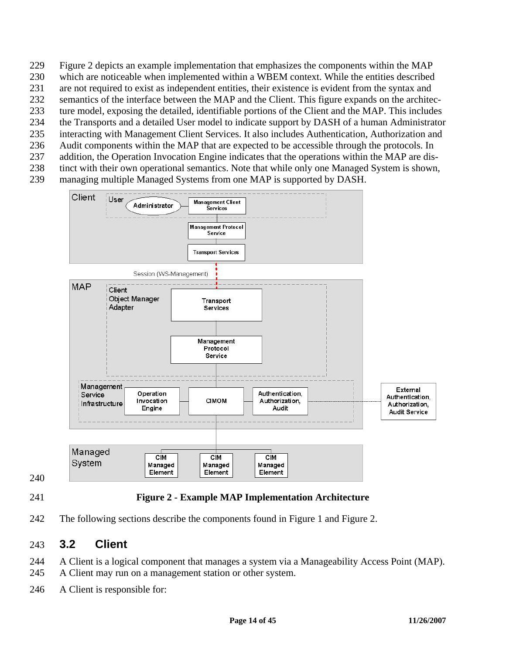- 229 Figure 2 depicts an example implementation that emphasizes the components within the MAP
- 230 which are noticeable when implemented within a WBEM context. While the entities described
- 231 are not required to exist as independent entities, their existence is evident from the syntax and
- 232 semantics of the interface between the MAP and the Client. This figure expands on the architec-
- 233 ture model, exposing the detailed, identifiable portions of the Client and the MAP. This includes
- 234 the Transports and a detailed User model to indicate support by DASH of a human Administrator 235 interacting with Management Client Services. It also includes Authentication, Authorization and
- 236 Audit components within the MAP that are expected to be accessible through the protocols. In
- 237 addition, the Operation Invocation Engine indicates that the operations within the MAP are dis-
- 238 tinct with their own operational semantics. Note that while only one Managed System is shown,
- 239 managing multiple Managed Systems from one MAP is supported by DASH.



240

## 241 **Figure 2 - Example MAP Implementation Architecture**

242 The following sections describe the components found in Figure 1 and Figure 2.

## 243 **3.2 Client**

244 A Client is a logical component that manages a system via a Manageability Access Point (MAP). 245 A Client may run on a management station or other system.

246 A Client is responsible for: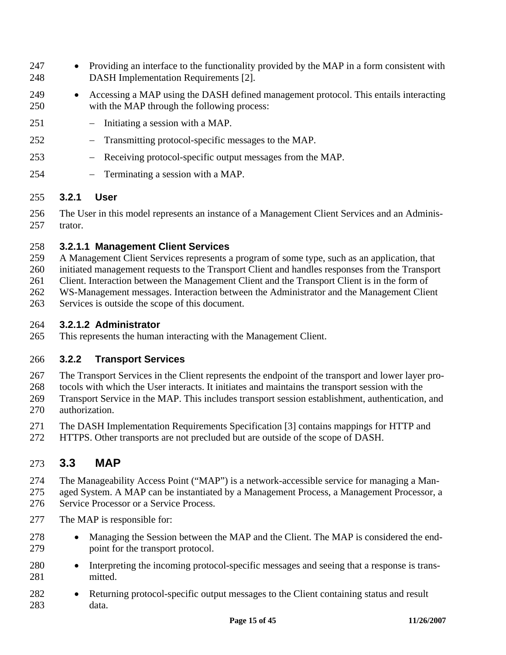- 247 Providing an interface to the functionality provided by the MAP in a form consistent with 248 DASH Implementation Requirements [2].
- 249 Accessing a MAP using the DASH defined management protocol. This entails interacting 250 with the MAP through the following process:
- 251 − Initiating a session with a MAP.
- 252 − Transmitting protocol-specific messages to the MAP.
- 253 Receiving protocol-specific output messages from the MAP.
- 254 − Terminating a session with a MAP.

#### 255 **3.2.1 User**

256 The User in this model represents an instance of a Management Client Services and an Adminis-257 trator.

#### 258 **3.2.1.1 Management Client Services**

259 A Management Client Services represents a program of some type, such as an application, that

260 initiated management requests to the Transport Client and handles responses from the Transport

261 Client. Interaction between the Management Client and the Transport Client is in the form of

262 WS-Management messages. Interaction between the Administrator and the Management Client

263 Services is outside the scope of this document.

#### 264 **3.2.1.2 Administrator**

265 This represents the human interacting with the Management Client.

### 266 **3.2.2 Transport Services**

267 The Transport Services in the Client represents the endpoint of the transport and lower layer pro-

268 tocols with which the User interacts. It initiates and maintains the transport session with the

269 Transport Service in the MAP. This includes transport session establishment, authentication, and 270 authorization.

271 The DASH Implementation Requirements Specification [3] contains mappings for HTTP and

272 HTTPS. Other transports are not precluded but are outside of the scope of DASH.

## 273 **3.3 MAP**

274 The Manageability Access Point ("MAP") is a network-accessible service for managing a Man-

275 aged System. A MAP can be instantiated by a Management Process, a Management Processor, a

276 Service Processor or a Service Process.

- 277 The MAP is responsible for:
- 278 Managing the Session between the MAP and the Client. The MAP is considered the end-279 point for the transport protocol.
- 280 Interpreting the incoming protocol-specific messages and seeing that a response is trans-281 mitted.
- 282 Returning protocol-specific output messages to the Client containing status and result 283 data.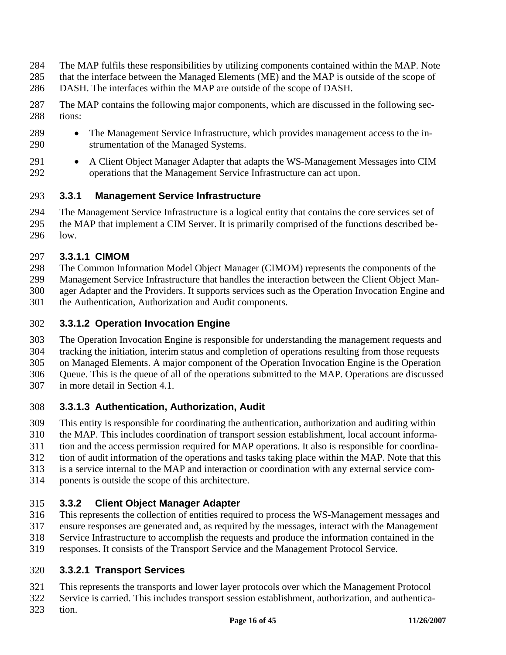- 284 The MAP fulfils these responsibilities by utilizing components contained within the MAP. Note
- 285 that the interface between the Managed Elements (ME) and the MAP is outside of the scope of
- 286 DASH. The interfaces within the MAP are outside of the scope of DASH.
- 287 The MAP contains the following major components, which are discussed in the following sec-288 tions:
- 289 The Management Service Infrastructure, which provides management access to the in-290 strumentation of the Managed Systems.
- 291 A Client Object Manager Adapter that adapts the WS-Management Messages into CIM 292 operations that the Management Service Infrastructure can act upon.

### 293 **3.3.1 Management Service Infrastructure**

294 The Management Service Infrastructure is a logical entity that contains the core services set of 295 the MAP that implement a CIM Server. It is primarily comprised of the functions described be-296 low.

### 297 **3.3.1.1 CIMOM**

298 The Common Information Model Object Manager (CIMOM) represents the components of the

299 Management Service Infrastructure that handles the interaction between the Client Object Man-

300 ager Adapter and the Providers. It supports services such as the Operation Invocation Engine and

301 the Authentication, Authorization and Audit components.

### 302 **3.3.1.2 Operation Invocation Engine**

303 The Operation Invocation Engine is responsible for understanding the management requests and

304 tracking the initiation, interim status and completion of operations resulting from those requests

305 on Managed Elements. A major component of the Operation Invocation Engine is the Operation

306 Queue. This is the queue of all of the operations submitted to the MAP. Operations are discussed

307 in more detail in Section 4.1.

### 308 **3.3.1.3 Authentication, Authorization, Audit**

309 This entity is responsible for coordinating the authentication, authorization and auditing within

310 the MAP. This includes coordination of transport session establishment, local account informa-

311 tion and the access permission required for MAP operations. It also is responsible for coordina-

312 tion of audit information of the operations and tasks taking place within the MAP. Note that this

313 is a service internal to the MAP and interaction or coordination with any external service com-

314 ponents is outside the scope of this architecture.

## 315 **3.3.2 Client Object Manager Adapter**

316 This represents the collection of entities required to process the WS-Management messages and

- 317 ensure responses are generated and, as required by the messages, interact with the Management
- 318 Service Infrastructure to accomplish the requests and produce the information contained in the
- 319 responses. It consists of the Transport Service and the Management Protocol Service.

## 320 **3.3.2.1 Transport Services**

321 This represents the transports and lower layer protocols over which the Management Protocol

322 Service is carried. This includes transport session establishment, authorization, and authentica-

323 tion.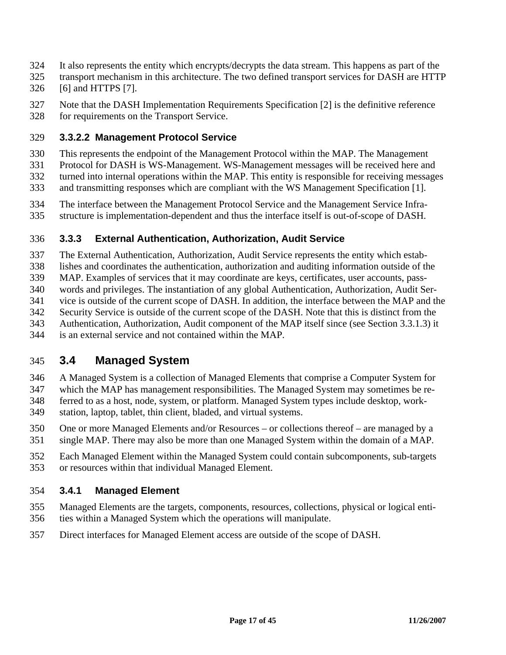- 324 It also represents the entity which encrypts/decrypts the data stream. This happens as part of the
- 325 transport mechanism in this architecture. The two defined transport services for DASH are HTTP
- 326 [6] and HTTPS [7].
- 327 Note that the DASH Implementation Requirements Specification [2] is the definitive reference 328 for requirements on the Transport Service.

#### 329 **3.3.2.2 Management Protocol Service**

- 330 This represents the endpoint of the Management Protocol within the MAP. The Management
- 331 Protocol for DASH is WS-Management. WS-Management messages will be received here and
- 332 turned into internal operations within the MAP. This entity is responsible for receiving messages
- 333 and transmitting responses which are compliant with the WS Management Specification [1].
- 334 The interface between the Management Protocol Service and the Management Service Infra-
- 335 structure is implementation-dependent and thus the interface itself is out-of-scope of DASH.

### 336 **3.3.3 External Authentication, Authorization, Audit Service**

- 337 The External Authentication, Authorization, Audit Service represents the entity which estab-
- 338 lishes and coordinates the authentication, authorization and auditing information outside of the
- 339 MAP. Examples of services that it may coordinate are keys, certificates, user accounts, pass-
- 340 words and privileges. The instantiation of any global Authentication, Authorization, Audit Ser-341 vice is outside of the current scope of DASH. In addition, the interface between the MAP and the
- 342 Security Service is outside of the current scope of the DASH. Note that this is distinct from the
- 343 Authentication, Authorization, Audit component of the MAP itself since (see Section 3.3.1.3) it
- 344 is an external service and not contained within the MAP.

## 345 **3.4 Managed System**

- 346 A Managed System is a collection of Managed Elements that comprise a Computer System for
- 347 which the MAP has management responsibilities. The Managed System may sometimes be re-
- 348 ferred to as a host, node, system, or platform. Managed System types include desktop, work-
- 349 station, laptop, tablet, thin client, bladed, and virtual systems.
- 350 One or more Managed Elements and/or Resources or collections thereof are managed by a
- 351 single MAP. There may also be more than one Managed System within the domain of a MAP.
- 352 Each Managed Element within the Managed System could contain subcomponents, sub-targets 353 or resources within that individual Managed Element.

### 354 **3.4.1 Managed Element**

- 355 Managed Elements are the targets, components, resources, collections, physical or logical enti-356 ties within a Managed System which the operations will manipulate.
- 357 Direct interfaces for Managed Element access are outside of the scope of DASH.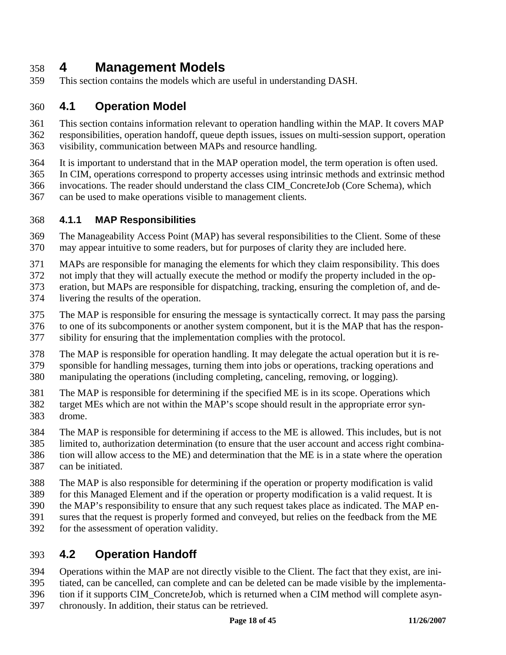## 358 **4 Management Models**

359 This section contains the models which are useful in understanding DASH.

## 360 **4.1 Operation Model**

361 This section contains information relevant to operation handling within the MAP. It covers MAP 362 responsibilities, operation handoff, queue depth issues, issues on multi-session support, operation 363 visibility, communication between MAPs and resource handling.

- 364 It is important to understand that in the MAP operation model, the term operation is often used.
- 365 In CIM, operations correspond to property accesses using intrinsic methods and extrinsic method
- 366 invocations. The reader should understand the class CIM\_ConcreteJob (Core Schema), which
- 367 can be used to make operations visible to management clients.

#### 368 **4.1.1 MAP Responsibilities**

- 369 The Manageability Access Point (MAP) has several responsibilities to the Client. Some of these 370 may appear intuitive to some readers, but for purposes of clarity they are included here.
- 371 MAPs are responsible for managing the elements for which they claim responsibility. This does
- 372 not imply that they will actually execute the method or modify the property included in the op-
- 373 eration, but MAPs are responsible for dispatching, tracking, ensuring the completion of, and de-374 livering the results of the operation.
- 375 The MAP is responsible for ensuring the message is syntactically correct. It may pass the parsing
- 376 to one of its subcomponents or another system component, but it is the MAP that has the respon-
- 377 sibility for ensuring that the implementation complies with the protocol.
- 378 The MAP is responsible for operation handling. It may delegate the actual operation but it is re-
- 379 sponsible for handling messages, turning them into jobs or operations, tracking operations and
- 380 manipulating the operations (including completing, canceling, removing, or logging).
- 381 The MAP is responsible for determining if the specified ME is in its scope. Operations which
- 382 target MEs which are not within the MAP's scope should result in the appropriate error syn-383 drome.
- 384 The MAP is responsible for determining if access to the ME is allowed. This includes, but is not
- 385 limited to, authorization determination (to ensure that the user account and access right combina-
- 386 tion will allow access to the ME) and determination that the ME is in a state where the operation
- 387 can be initiated.
- 388 The MAP is also responsible for determining if the operation or property modification is valid
- 389 for this Managed Element and if the operation or property modification is a valid request. It is
- 390 the MAP's responsibility to ensure that any such request takes place as indicated. The MAP en-
- 391 sures that the request is properly formed and conveyed, but relies on the feedback from the ME
- 392 for the assessment of operation validity.

## 393 **4.2 Operation Handoff**

- 394 Operations within the MAP are not directly visible to the Client. The fact that they exist, are ini-
- 395 tiated, can be cancelled, can complete and can be deleted can be made visible by the implementa-
- 396 tion if it supports CIM\_ConcreteJob, which is returned when a CIM method will complete asyn-
- 397 chronously. In addition, their status can be retrieved.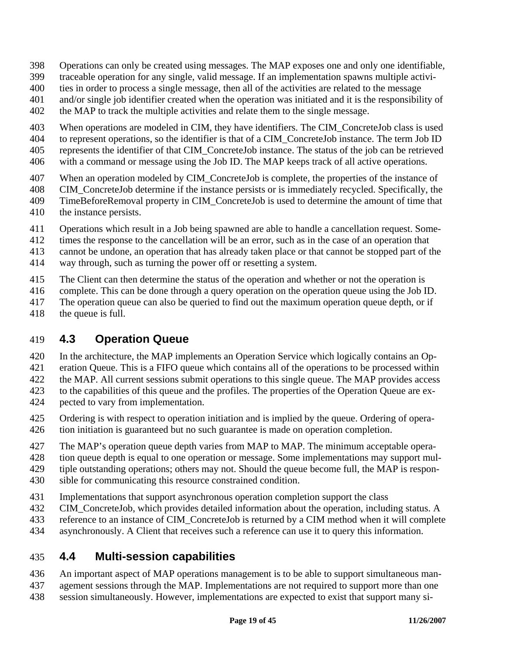- 398 Operations can only be created using messages. The MAP exposes one and only one identifiable,
- 399 traceable operation for any single, valid message. If an implementation spawns multiple activi-
- 400 ties in order to process a single message, then all of the activities are related to the message
- 401 and/or single job identifier created when the operation was initiated and it is the responsibility of
- 402 the MAP to track the multiple activities and relate them to the single message.
- 403 When operations are modeled in CIM, they have identifiers. The CIM\_ConcreteJob class is used
- 404 to represent operations, so the identifier is that of a CIM\_ConcreteJob instance. The term Job ID
- 405 represents the identifier of that CIM\_ConcreteJob instance. The status of the job can be retrieved
- 406 with a command or message using the Job ID. The MAP keeps track of all active operations.
- 407 When an operation modeled by CIM ConcreteJob is complete, the properties of the instance of
- 408 CIM\_ConcreteJob determine if the instance persists or is immediately recycled. Specifically, the
- 409 TimeBeforeRemoval property in CIM\_ConcreteJob is used to determine the amount of time that
- 410 the instance persists.
- 411 Operations which result in a Job being spawned are able to handle a cancellation request. Some-
- 412 times the response to the cancellation will be an error, such as in the case of an operation that
- 413 cannot be undone, an operation that has already taken place or that cannot be stopped part of the
- 414 way through, such as turning the power off or resetting a system.
- 415 The Client can then determine the status of the operation and whether or not the operation is
- 416 complete. This can be done through a query operation on the operation queue using the Job ID.
- 417 The operation queue can also be queried to find out the maximum operation queue depth, or if
- 418 the queue is full.

## 419 **4.3 Operation Queue**

- 420 In the architecture, the MAP implements an Operation Service which logically contains an Op-
- 421 eration Queue. This is a FIFO queue which contains all of the operations to be processed within
- 422 the MAP. All current sessions submit operations to this single queue. The MAP provides access
- 423 to the capabilities of this queue and the profiles. The properties of the Operation Queue are ex-
- 424 pected to vary from implementation.
- 425 Ordering is with respect to operation initiation and is implied by the queue. Ordering of opera-426 tion initiation is guaranteed but no such guarantee is made on operation completion.
- 427 The MAP's operation queue depth varies from MAP to MAP. The minimum acceptable opera-
- 428 tion queue depth is equal to one operation or message. Some implementations may support mul-
- 429 tiple outstanding operations; others may not. Should the queue become full, the MAP is respon-
- 430 sible for communicating this resource constrained condition.
- 431 Implementations that support asynchronous operation completion support the class
- 432 CIM\_ConcreteJob, which provides detailed information about the operation, including status. A
- 433 reference to an instance of CIM\_ConcreteJob is returned by a CIM method when it will complete
- 434 asynchronously. A Client that receives such a reference can use it to query this information.

## 435 **4.4 Multi-session capabilities**

- 436 An important aspect of MAP operations management is to be able to support simultaneous man-
- 437 agement sessions through the MAP. Implementations are not required to support more than one 438 session simultaneously. However, implementations are expected to exist that support many si-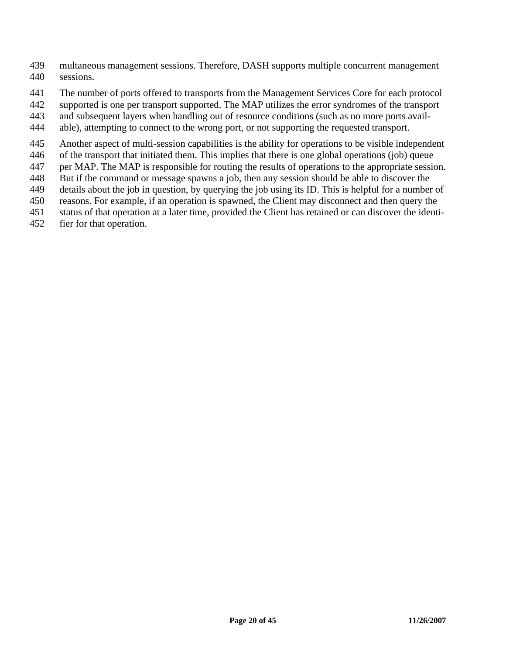- 439 multaneous management sessions. Therefore, DASH supports multiple concurrent management 440 sessions.
- 441 The number of ports offered to transports from the Management Services Core for each protocol
- 442 supported is one per transport supported. The MAP utilizes the error syndromes of the transport
- 443 and subsequent layers when handling out of resource conditions (such as no more ports avail-
- 444 able), attempting to connect to the wrong port, or not supporting the requested transport.
- 445 Another aspect of multi-session capabilities is the ability for operations to be visible independent
- 446 of the transport that initiated them. This implies that there is one global operations (job) queue
- 447 per MAP. The MAP is responsible for routing the results of operations to the appropriate session.
- 448 But if the command or message spawns a job, then any session should be able to discover the
- 449 details about the job in question, by querying the job using its ID. This is helpful for a number of
- 450 reasons. For example, if an operation is spawned, the Client may disconnect and then query the
- 451 status of that operation at a later time, provided the Client has retained or can discover the identi-
- 452 fier for that operation.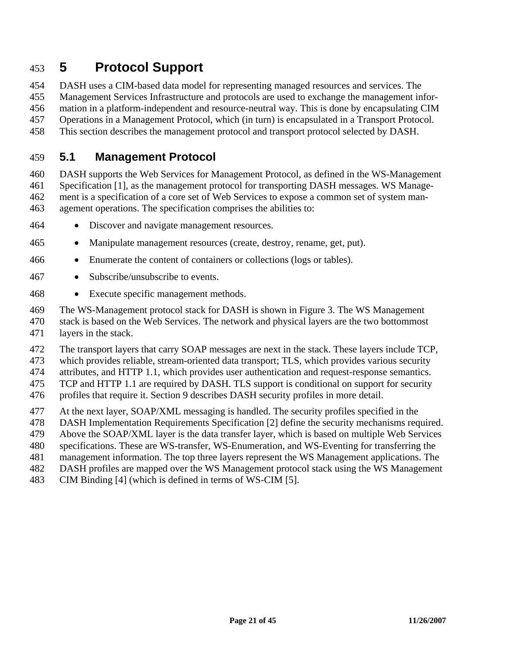## 453 **5 Protocol Support**

454 DASH uses a CIM-based data model for representing managed resources and services. The

455 Management Services Infrastructure and protocols are used to exchange the management infor-

456 mation in a platform-independent and resource-neutral way. This is done by encapsulating CIM 457 Operations in a Management Protocol, which (in turn) is encapsulated in a Transport Protocol.

458 This section describes the management protocol and transport protocol selected by DASH.

## 459 **5.1 Management Protocol**

460 DASH supports the Web Services for Management Protocol, as defined in the WS-Management 461 Specification [1], as the management protocol for transporting DASH messages. WS Manage-462 ment is a specification of a core set of Web Services to expose a common set of system man-463 agement operations. The specification comprises the abilities to:

- 464 Discover and navigate management resources.
- 465 Manipulate management resources (create, destroy, rename, get, put).
- 466 Enumerate the content of containers or collections (logs or tables).
- 467 Subscribe/unsubscribe to events.
- 468 Execute specific management methods.

469 The WS-Management protocol stack for DASH is shown in Figure 3. The WS Management

470 stack is based on the Web Services. The network and physical layers are the two bottommost

471 layers in the stack.

472 The transport layers that carry SOAP messages are next in the stack. These layers include TCP,

473 which provides reliable, stream-oriented data transport; TLS, which provides various security

474 attributes, and HTTP 1.1, which provides user authentication and request-response semantics.

475 TCP and HTTP 1.1 are required by DASH. TLS support is conditional on support for security

476 profiles that require it. Section 9 describes DASH security profiles in more detail.

477 At the next layer, SOAP/XML messaging is handled. The security profiles specified in the

478 DASH Implementation Requirements Specification [2] define the security mechanisms required.

479 Above the SOAP/XML layer is the data transfer layer, which is based on multiple Web Services

480 specifications. These are WS-transfer, WS-Enumeration, and WS-Eventing for transferring the

481 management information. The top three layers represent the WS Management applications. The

482 DASH profiles are mapped over the WS Management protocol stack using the WS Management

483 CIM Binding [4] (which is defined in terms of WS-CIM [5].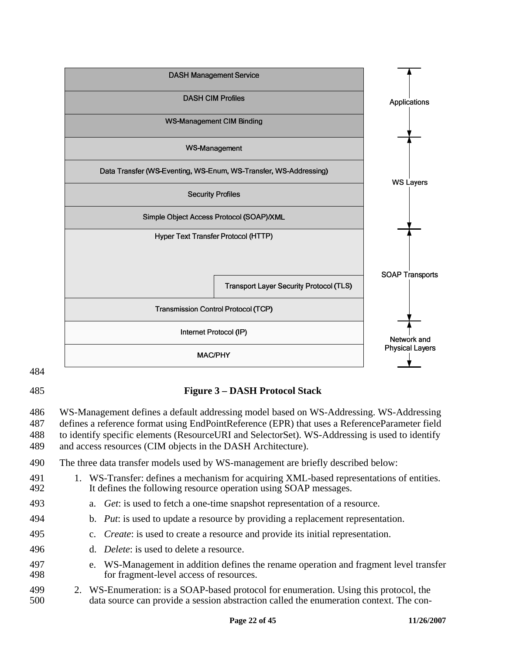

484

#### 485 **Figure 3 – DASH Protocol Stack**

486 WS-Management defines a default addressing model based on WS-Addressing. WS-Addressing 487 defines a reference format using EndPointReference (EPR) that uses a ReferenceParameter field 488 to identify specific elements (ResourceURI and SelectorSet). WS-Addressing is used to identify

489 and access resources (CIM objects in the DASH Architecture).

- 490 The three data transfer models used by WS-management are briefly described below:
- 491 1. WS-Transfer: defines a mechanism for acquiring XML-based representations of entities. 492 It defines the following resource operation using SOAP messages.
- 493 a. *Get*: is used to fetch a one-time snapshot representation of a resource.
- 494 b. *Put*: is used to update a resource by providing a replacement representation.
- 495 c. *Create*: is used to create a resource and provide its initial representation.
- 496 d. *Delete*: is used to delete a resource.
- 497 e. WS-Management in addition defines the rename operation and fragment level transfer 498 for fragment-level access of resources.
- 499 2. WS-Enumeration: is a SOAP-based protocol for enumeration. Using this protocol, the 500 data source can provide a session abstraction called the enumeration context. The con-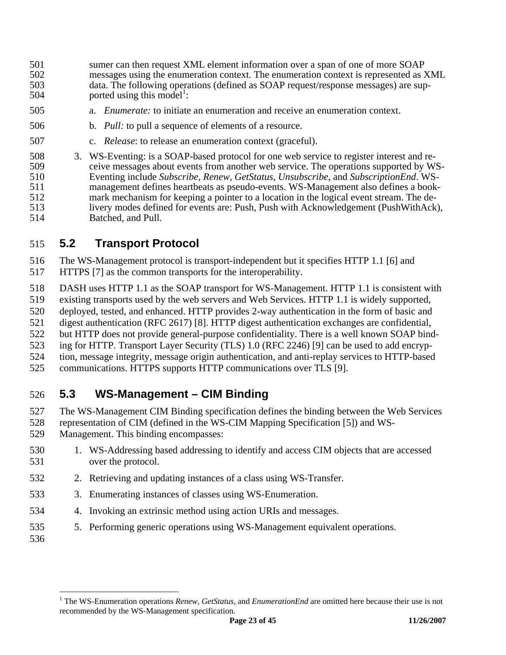- 501 sumer can then request XML element information over a span of one of more SOAP 502 messages using the enumeration context. The enumeration context is represented as XML 503 data. The following operations (defined as SOAP request/response messages) are sup- $504$  ported using this model<sup>1</sup>:
- 505 a. *Enumerate:* to initiate an enumeration and receive an enumeration context.
- 506 b. *Pull:* to pull a sequence of elements of a resource.
- 507 c. *Release*: to release an enumeration context (graceful).
- 508 3. WS-Eventing: is a SOAP-based protocol for one web service to register interest and re-509 ceive messages about events from another web service. The operations supported by WS-510 Eventing include *Subscribe, Renew, GetStatus, Unsubscribe,* and *SubscriptionEnd*. WS-511 management defines heartbeats as pseudo-events. WS-Management also defines a book-512 mark mechanism for keeping a pointer to a location in the logical event stream. The de-513 livery modes defined for events are: Push, Push with Acknowledgement (PushWithAck), 514 Batched, and Pull. Batched, and Pull.

### 515 **5.2 Transport Protocol**

516 The WS-Management protocol is transport-independent but it specifies HTTP 1.1 [6] and 517 HTTPS [7] as the common transports for the interoperability.

- 518 DASH uses HTTP 1.1 as the SOAP transport for WS-Management. HTTP 1.1 is consistent with
- 519 existing transports used by the web servers and Web Services. HTTP 1.1 is widely supported,
- 520 deployed, tested, and enhanced. HTTP provides 2-way authentication in the form of basic and
- 521 digest authentication (RFC 2617) [8]. HTTP digest authentication exchanges are confidential,
- 522 but HTTP does not provide general-purpose confidentiality. There is a well known SOAP bind-
- 523 ing for HTTP. Transport Layer Security (TLS) 1.0 (RFC 2246) [9] can be used to add encryp-
- 524 tion, message integrity, message origin authentication, and anti-replay services to HTTP-based
- 525 communications. HTTPS supports HTTP communications over TLS [9].

## 526 **5.3 WS-Management – CIM Binding**

- 527 The WS-Management CIM Binding specification defines the binding between the Web Services
- 528 representation of CIM (defined in the WS-CIM Mapping Specification [5]) and WS-
- 529 Management. This binding encompasses:
- 530 1. WS-Addressing based addressing to identify and access CIM objects that are accessed 531 over the protocol.
- 532 2. Retrieving and updating instances of a class using WS-Transfer.
- 533 3. Enumerating instances of classes using WS-Enumeration.
- 534 4. Invoking an extrinsic method using action URIs and messages.
- 535 5. Performing generic operations using WS-Management equivalent operations.
- 536

 $\overline{a}$ 

**Page 23 of 45** 11/26/2007 <sup>1</sup> The WS-Enumeration operations *Renew*, *GetStatus*, and *EnumerationEnd* are omitted here because their use is not recommended by the WS-Management specification.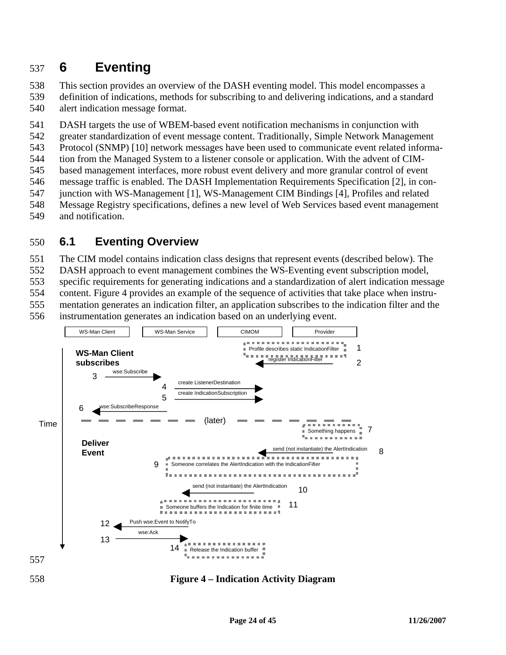# 537 **6 Eventing**

538 This section provides an overview of the DASH eventing model. This model encompasses a 539 definition of indications, methods for subscribing to and delivering indications, and a standard 540 alert indication message format.

541 DASH targets the use of WBEM-based event notification mechanisms in conjunction with

542 greater standardization of event message content. Traditionally, Simple Network Management

543 Protocol (SNMP) [10] network messages have been used to communicate event related informa-

544 tion from the Managed System to a listener console or application. With the advent of CIM-

545 based management interfaces, more robust event delivery and more granular control of event

- 546 message traffic is enabled. The DASH Implementation Requirements Specification [2], in con-547 junction with WS-Management [1], WS-Management CIM Bindings [4], Profiles and related
- 548 Message Registry specifications, defines a new level of Web Services based event management
- 549 and notification.

## 550 **6.1 Eventing Overview**

551 The CIM model contains indication class designs that represent events (described below). The

552 DASH approach to event management combines the WS-Eventing event subscription model,

553 specific requirements for generating indications and a standardization of alert indication message

554 content. Figure 4 provides an example of the sequence of activities that take place when instru-

555 mentation generates an indication filter, an application subscribes to the indication filter and the

556 instrumentation generates an indication based on an underlying event.



#### 558 **Figure 4 – Indication Activity Diagram**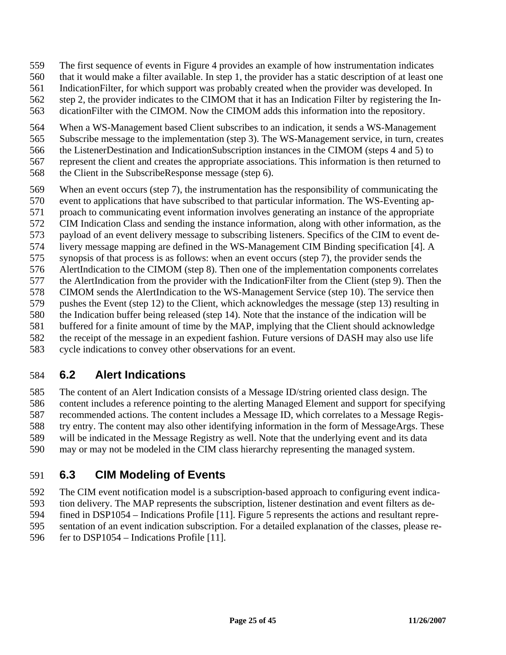- 559 The first sequence of events in Figure 4 provides an example of how instrumentation indicates
- 560 that it would make a filter available. In step 1, the provider has a static description of at least one
- 561 IndicationFilter, for which support was probably created when the provider was developed. In
- 562 step 2, the provider indicates to the CIMOM that it has an Indication Filter by registering the In-
- 563 dicationFilter with the CIMOM. Now the CIMOM adds this information into the repository.
- 564 When a WS-Management based Client subscribes to an indication, it sends a WS-Management
- 565 Subscribe message to the implementation (step 3). The WS-Management service, in turn, creates
- 566 the ListenerDestination and IndicationSubscription instances in the CIMOM (steps 4 and 5) to
- 567 represent the client and creates the appropriate associations. This information is then returned to
- 568 the Client in the SubscribeResponse message (step 6).
- 569 When an event occurs (step 7), the instrumentation has the responsibility of communicating the
- 570 event to applications that have subscribed to that particular information. The WS-Eventing ap-
- 571 proach to communicating event information involves generating an instance of the appropriate
- 572 CIM Indication Class and sending the instance information, along with other information, as the
- 573 payload of an event delivery message to subscribing listeners. Specifics of the CIM to event de-
- 574 livery message mapping are defined in the WS-Management CIM Binding specification [4]. A
- 575 synopsis of that process is as follows: when an event occurs (step 7), the provider sends the
- 576 AlertIndication to the CIMOM (step 8). Then one of the implementation components correlates
- 577 the AlertIndication from the provider with the IndicationFilter from the Client (step 9). Then the
- 578 CIMOM sends the AlertIndication to the WS-Management Service (step 10). The service then
- 579 pushes the Event (step 12) to the Client, which acknowledges the message (step 13) resulting in 580 the Indication buffer being released (step 14). Note that the instance of the indication will be
- 581 buffered for a finite amount of time by the MAP, implying that the Client should acknowledge
- 582 the receipt of the message in an expedient fashion. Future versions of DASH may also use life
- 583 cycle indications to convey other observations for an event.

## 584 **6.2 Alert Indications**

585 The content of an Alert Indication consists of a Message ID/string oriented class design. The 586 content includes a reference pointing to the alerting Managed Element and support for specifying 587 recommended actions. The content includes a Message ID, which correlates to a Message Regis-588 try entry. The content may also other identifying information in the form of MessageArgs. These 589 will be indicated in the Message Registry as well. Note that the underlying event and its data 590 may or may not be modeled in the CIM class hierarchy representing the managed system.

## 591 **6.3 CIM Modeling of Events**

592 The CIM event notification model is a subscription-based approach to configuring event indica-593 tion delivery. The MAP represents the subscription, listener destination and event filters as de-

- 594 fined in DSP1054 Indications Profile [11]. Figure 5 represents the actions and resultant repre-595 sentation of an event indication subscription. For a detailed explanation of the classes, please re-
- 596 fer to DSP1054 Indications Profile [11].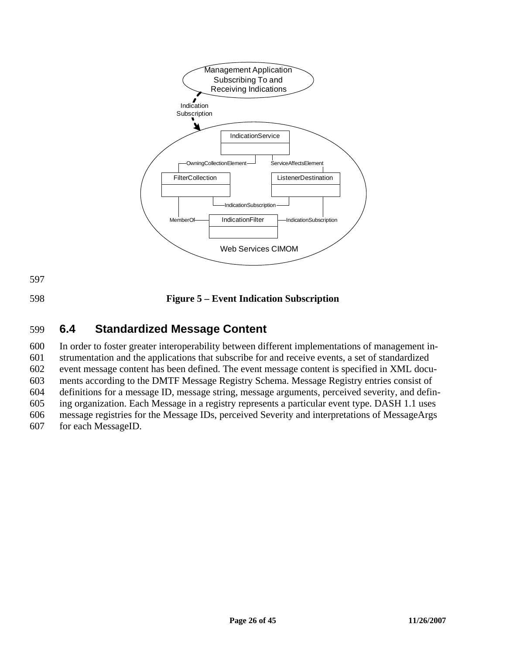

## 599 **6.4 Standardized Message Content**

600 In order to foster greater interoperability between different implementations of management in-601 strumentation and the applications that subscribe for and receive events, a set of standardized 602 event message content has been defined. The event message content is specified in XML docu-603 ments according to the DMTF Message Registry Schema. Message Registry entries consist of 604 definitions for a message ID, message string, message arguments, perceived severity, and defin-605 ing organization. Each Message in a registry represents a particular event type. DASH 1.1 uses 606 message registries for the Message IDs, perceived Severity and interpretations of MessageArgs 607 for each MessageID.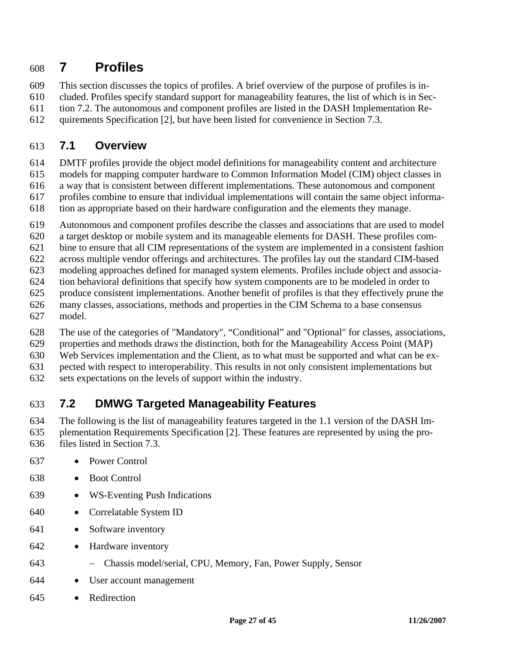## 608 **7 Profiles**

609 This section discusses the topics of profiles. A brief overview of the purpose of profiles is in-

610 cluded. Profiles specify standard support for manageability features, the list of which is in Sec-

611 tion 7.2. The autonomous and component profiles are listed in the DASH Implementation Re-

612 quirements Specification [2], but have been listed for convenience in Section 7.3.

## 613 **7.1 Overview**

614 DMTF profiles provide the object model definitions for manageability content and architecture

- 615 models for mapping computer hardware to Common Information Model (CIM) object classes in
- 616 a way that is consistent between different implementations. These autonomous and component
- 617 profiles combine to ensure that individual implementations will contain the same object informa-
- 618 tion as appropriate based on their hardware configuration and the elements they manage.
- 619 Autonomous and component profiles describe the classes and associations that are used to model
- 620 a target desktop or mobile system and its manageable elements for DASH. These profiles com-
- 621 bine to ensure that all CIM representations of the system are implemented in a consistent fashion
- 622 across multiple vendor offerings and architectures. The profiles lay out the standard CIM-based
- 623 modeling approaches defined for managed system elements. Profiles include object and associa-624 tion behavioral definitions that specify how system components are to be modeled in order to
- 625 produce consistent implementations. Another benefit of profiles is that they effectively prune the
- 626 many classes, associations, methods and properties in the CIM Schema to a base consensus
- 627 model.
- 628 The use of the categories of "Mandatory", "Conditional" and "Optional" for classes, associations,
- 629 properties and methods draws the distinction, both for the Manageability Access Point (MAP)
- 630 Web Services implementation and the Client, as to what must be supported and what can be ex-
- 631 pected with respect to interoperability. This results in not only consistent implementations but
- 632 sets expectations on the levels of support within the industry.

## 633 **7.2 DMWG Targeted Manageability Features**

634 The following is the list of manageability features targeted in the 1.1 version of the DASH Im-635 plementation Requirements Specification [2]. These features are represented by using the pro-

- 636 files listed in Section 7.3.
- 637 Power Control
- 638 Boot Control
- 639 WS-Eventing Push Indications
- 640 Correlatable System ID
- 641 Software inventory
- 642 Hardware inventory
- 643 − Chassis model/serial, CPU, Memory, Fan, Power Supply, Sensor
- 644 User account management
- 645 Redirection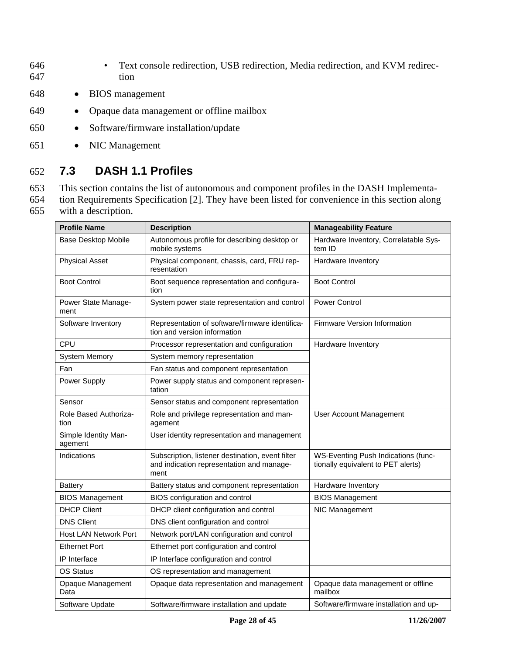- 646 Text console redirection, USB redirection, Media redirection, and KVM redirec-647 tion
- 648 BIOS management
- 649 Opaque data management or offline mailbox
- 650 Software/firmware installation/update
- 651 NIC Management

## 652 **7.3 DASH 1.1 Profiles**

653 This section contains the list of autonomous and component profiles in the DASH Implementa-

654 tion Requirements Specification [2]. They have been listed for convenience in this section along 655 with a description.

| <b>Profile Name</b>             | <b>Description</b>                                                                                    | <b>Manageability Feature</b>                                              |
|---------------------------------|-------------------------------------------------------------------------------------------------------|---------------------------------------------------------------------------|
| <b>Base Desktop Mobile</b>      | Autonomous profile for describing desktop or<br>mobile systems                                        | Hardware Inventory, Correlatable Sys-<br>tem ID                           |
| <b>Physical Asset</b>           | Physical component, chassis, card, FRU rep-<br>resentation                                            | Hardware Inventory                                                        |
| <b>Boot Control</b>             | Boot sequence representation and configura-<br>tion                                                   | <b>Boot Control</b>                                                       |
| Power State Manage-<br>ment     | System power state representation and control                                                         | <b>Power Control</b>                                                      |
| Software Inventory              | Representation of software/firmware identifica-<br>tion and version information                       | <b>Firmware Version Information</b>                                       |
| CPU                             | Processor representation and configuration                                                            | Hardware Inventory                                                        |
| <b>System Memory</b>            | System memory representation                                                                          |                                                                           |
| Fan                             | Fan status and component representation                                                               |                                                                           |
| Power Supply                    | Power supply status and component represen-<br>tation                                                 |                                                                           |
| Sensor                          | Sensor status and component representation                                                            |                                                                           |
| Role Based Authoriza-<br>tion   | Role and privilege representation and man-<br>agement                                                 | User Account Management                                                   |
| Simple Identity Man-<br>agement | User identity representation and management                                                           |                                                                           |
| Indications                     | Subscription, listener destination, event filter<br>and indication representation and manage-<br>ment | WS-Eventing Push Indications (func-<br>tionally equivalent to PET alerts) |
| <b>Battery</b>                  | Battery status and component representation                                                           | Hardware Inventory                                                        |
| <b>BIOS Management</b>          | BIOS configuration and control                                                                        | <b>BIOS Management</b>                                                    |
| <b>DHCP Client</b>              | DHCP client configuration and control                                                                 | NIC Management                                                            |
| <b>DNS Client</b>               | DNS client configuration and control                                                                  |                                                                           |
| Host LAN Network Port           | Network port/LAN configuration and control                                                            |                                                                           |
| <b>Ethernet Port</b>            | Ethernet port configuration and control                                                               |                                                                           |
| IP Interface                    | IP Interface configuration and control                                                                |                                                                           |
| OS Status                       | OS representation and management                                                                      |                                                                           |
| Opaque Management<br>Data       | Opaque data representation and management                                                             | Opaque data management or offline<br>mailbox                              |
| Software Update                 | Software/firmware installation and update                                                             | Software/firmware installation and up-                                    |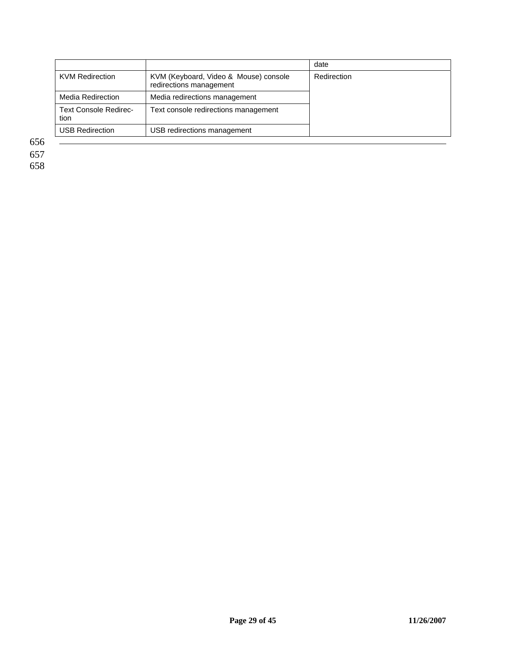|                                      |                                                                  | date        |
|--------------------------------------|------------------------------------------------------------------|-------------|
| <b>KVM Redirection</b>               | KVM (Keyboard, Video & Mouse) console<br>redirections management | Redirection |
| <b>Media Redirection</b>             | Media redirections management                                    |             |
| <b>Text Console Redirec-</b><br>tion | Text console redirections management                             |             |
| <b>USB Redirection</b>               | USB redirections management                                      |             |

656

657

658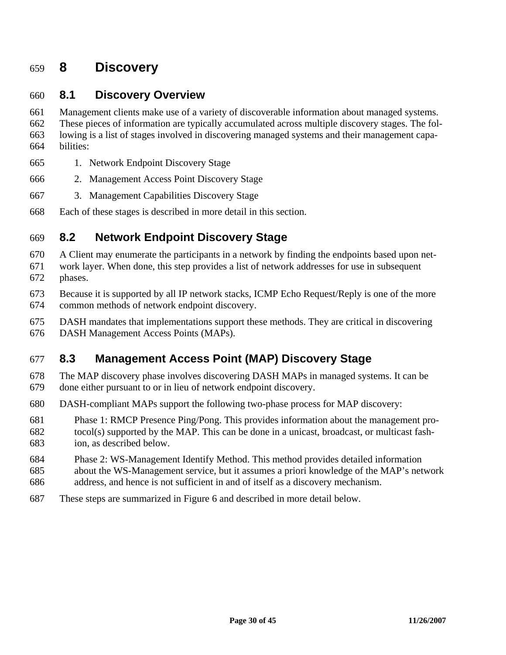## 659 **8 Discovery**

### 660 **8.1 Discovery Overview**

661 Management clients make use of a variety of discoverable information about managed systems. 662 These pieces of information are typically accumulated across multiple discovery stages. The fol-663 lowing is a list of stages involved in discovering managed systems and their management capa-664 bilities:

- 665 1. Network Endpoint Discovery Stage
- 666 2. Management Access Point Discovery Stage
- 667 3. Management Capabilities Discovery Stage
- 668 Each of these stages is described in more detail in this section.

### 669 **8.2 Network Endpoint Discovery Stage**

670 A Client may enumerate the participants in a network by finding the endpoints based upon net-

- 671 work layer. When done, this step provides a list of network addresses for use in subsequent 672 phases.
- 673 Because it is supported by all IP network stacks, ICMP Echo Request/Reply is one of the more 674 common methods of network endpoint discovery.
- 675 DASH mandates that implementations support these methods. They are critical in discovering
- 676 DASH Management Access Points (MAPs).

## 677 **8.3 Management Access Point (MAP) Discovery Stage**

- 678 The MAP discovery phase involves discovering DASH MAPs in managed systems. It can be 679 done either pursuant to or in lieu of network endpoint discovery.
- 680 DASH-compliant MAPs support the following two-phase process for MAP discovery:
- 681 Phase 1: RMCP Presence Ping/Pong. This provides information about the management pro-
- 682 tocol(s) supported by the MAP. This can be done in a unicast, broadcast, or multicast fash-683 ion, as described below.
- 684 Phase 2: WS-Management Identify Method. This method provides detailed information
- 685 about the WS-Management service, but it assumes a priori knowledge of the MAP's network
- 686 address, and hence is not sufficient in and of itself as a discovery mechanism.
- 687 These steps are summarized in Figure 6 and described in more detail below.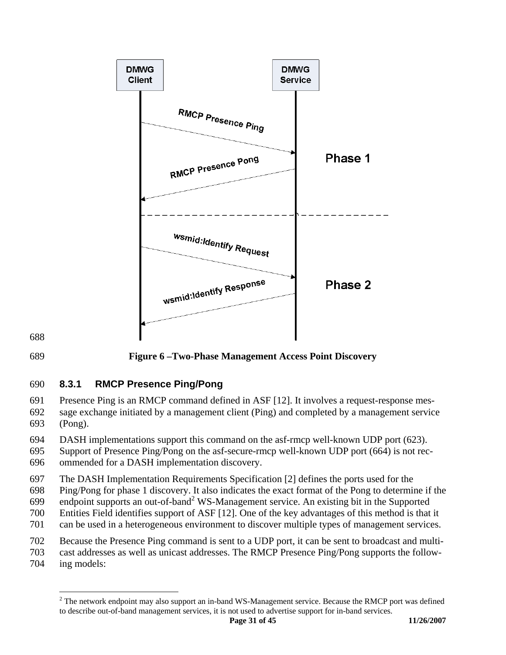



689 **Figure 6 –Two-Phase Management Access Point Discovery** 

### 690 **8.3.1 RMCP Presence Ping/Pong**

691 Presence Ping is an RMCP command defined in ASF [12]. It involves a request-response mes-692 sage exchange initiated by a management client (Ping) and completed by a management service

693 (Pong).

 $\overline{a}$ 

694 DASH implementations support this command on the asf-rmcp well-known UDP port (623).

695 Support of Presence Ping/Pong on the asf-secure-rmcp well-known UDP port (664) is not rec-696 ommended for a DASH implementation discovery.

697 The DASH Implementation Requirements Specification [2] defines the ports used for the

698 Ping/Pong for phase 1 discovery. It also indicates the exact format of the Pong to determine if the

699 endpoint supports an out-of-band<sup>2</sup> WS-Management service. An existing bit in the Supported

700 Entities Field identifies support of ASF [12]. One of the key advantages of this method is that it

701 can be used in a heterogeneous environment to discover multiple types of management services.

702 Because the Presence Ping command is sent to a UDP port, it can be sent to broadcast and multi-

703 cast addresses as well as unicast addresses. The RMCP Presence Ping/Pong supports the follow-704 ing models:

 $2$  The network endpoint may also support an in-band WS-Management service. Because the RMCP port was defined to describe out-of-band management services, it is not used to advertise support for in-band services.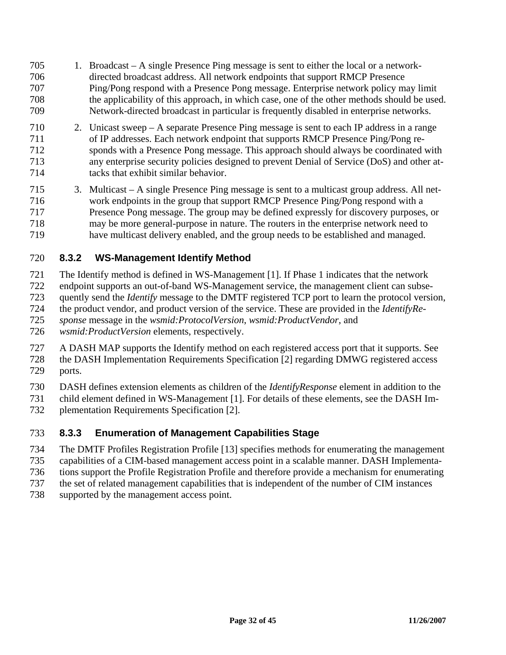- 705 1. Broadcast A single Presence Ping message is sent to either the local or a network-706 directed broadcast address. All network endpoints that support RMCP Presence 707 Ping/Pong respond with a Presence Pong message. Enterprise network policy may limit 708 the applicability of this approach, in which case, one of the other methods should be used. 709 Network-directed broadcast in particular is frequently disabled in enterprise networks.
- 710 2. Unicast sweep A separate Presence Ping message is sent to each IP address in a range 711 of IP addresses. Each network endpoint that supports RMCP Presence Ping/Pong re-712 sponds with a Presence Pong message. This approach should always be coordinated with 713 any enterprise security policies designed to prevent Denial of Service (DoS) and other at-714 tacks that exhibit similar behavior.
- 715 3. Multicast A single Presence Ping message is sent to a multicast group address. All net-716 work endpoints in the group that support RMCP Presence Ping/Pong respond with a 717 Presence Pong message. The group may be defined expressly for discovery purposes, or 718 may be more general-purpose in nature. The routers in the enterprise network need to 719 have multicast delivery enabled, and the group needs to be established and managed.

### 720 **8.3.2 WS-Management Identify Method**

721 The Identify method is defined in WS-Management [1]. If Phase 1 indicates that the network

- 722 endpoint supports an out-of-band WS-Management service, the management client can subse-
- 723 quently send the *Identify* message to the DMTF registered TCP port to learn the protocol version,
- 724 the product vendor, and product version of the service. These are provided in the *IdentifyRe-*
- 725 *sponse* message in the *wsmid:ProtocolVersion*, *wsmid:ProductVendor*, and
- 726 *wsmid:ProductVersion* elements, respectively.
- 727 A DASH MAP supports the Identify method on each registered access port that it supports. See
- 728 the DASH Implementation Requirements Specification [2] regarding DMWG registered access 729 ports.
- 730 DASH defines extension elements as children of the *IdentifyResponse* element in addition to the
- 731 child element defined in WS-Management [1]. For details of these elements, see the DASH Im-
- 732 plementation Requirements Specification [2].

#### 733 **8.3.3 Enumeration of Management Capabilities Stage**

- 734 The DMTF Profiles Registration Profile [13] specifies methods for enumerating the management
- 735 capabilities of a CIM-based management access point in a scalable manner. DASH Implementa-
- 736 tions support the Profile Registration Profile and therefore provide a mechanism for enumerating
- 737 the set of related management capabilities that is independent of the number of CIM instances
- 738 supported by the management access point.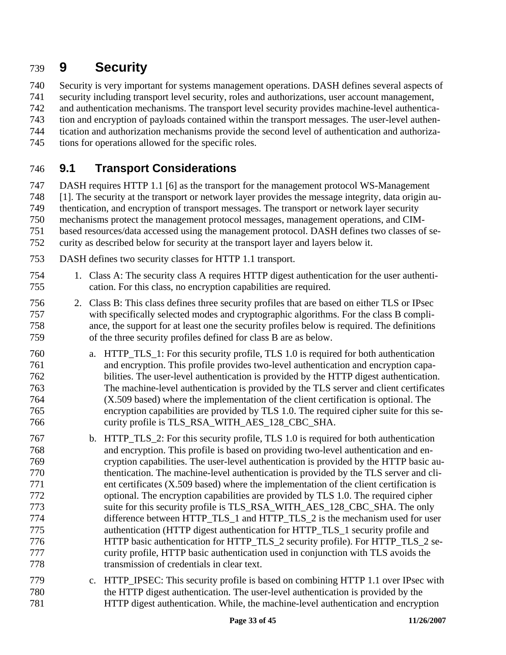# 739 **9 Security**

740 Security is very important for systems management operations. DASH defines several aspects of

741 security including transport level security, roles and authorizations, user account management,

742 and authentication mechanisms. The transport level security provides machine-level authentica-

743 tion and encryption of payloads contained within the transport messages. The user-level authen-

744 tication and authorization mechanisms provide the second level of authentication and authoriza-

745 tions for operations allowed for the specific roles.

## 746 **9.1 Transport Considerations**

747 DASH requires HTTP 1.1 [6] as the transport for the management protocol WS-Management

748 [1]. The security at the transport or network layer provides the message integrity, data origin au-

749 thentication, and encryption of transport messages. The transport or network layer security

750 mechanisms protect the management protocol messages, management operations, and CIM-

751 based resources/data accessed using the management protocol. DASH defines two classes of se-

- 752 curity as described below for security at the transport layer and layers below it.
- 753 DASH defines two security classes for HTTP 1.1 transport.
- 754 1. Class A: The security class A requires HTTP digest authentication for the user authenti-755 cation. For this class, no encryption capabilities are required.
- 756 2. Class B: This class defines three security profiles that are based on either TLS or IPsec 757 with specifically selected modes and cryptographic algorithms. For the class B compli-758 ance, the support for at least one the security profiles below is required. The definitions 759 of the three security profiles defined for class B are as below.
- 760 a. HTTP\_TLS\_1: For this security profile, TLS 1.0 is required for both authentication 761 and encryption. This profile provides two-level authentication and encryption capa-762 bilities. The user-level authentication is provided by the HTTP digest authentication. 763 The machine-level authentication is provided by the TLS server and client certificates 764 (X.509 based) where the implementation of the client certification is optional. The 765 encryption capabilities are provided by TLS 1.0. The required cipher suite for this se-766 curity profile is TLS\_RSA\_WITH\_AES\_128\_CBC\_SHA.
- 767 b. HTTP\_TLS\_2: For this security profile, TLS 1.0 is required for both authentication 768 and encryption. This profile is based on providing two-level authentication and en-769 cryption capabilities. The user-level authentication is provided by the HTTP basic au-770 thentication. The machine-level authentication is provided by the TLS server and cli-771 ent certificates (X.509 based) where the implementation of the client certification is 772 optional. The encryption capabilities are provided by TLS 1.0. The required cipher 773 suite for this security profile is TLS\_RSA\_WITH\_AES\_128\_CBC\_SHA. The only 774 difference between HTTP\_TLS\_1 and HTTP\_TLS\_2 is the mechanism used for user 775 authentication (HTTP digest authentication for HTTP\_TLS\_1 security profile and 776 HTTP basic authentication for HTTP\_TLS\_2 security profile). For HTTP\_TLS\_2 se-777 curity profile, HTTP basic authentication used in conjunction with TLS avoids the 778 transmission of credentials in clear text.
- 779 c. HTTP\_IPSEC: This security profile is based on combining HTTP 1.1 over IPsec with 780 the HTTP digest authentication. The user-level authentication is provided by the 781 HTTP digest authentication. While, the machine-level authentication and encryption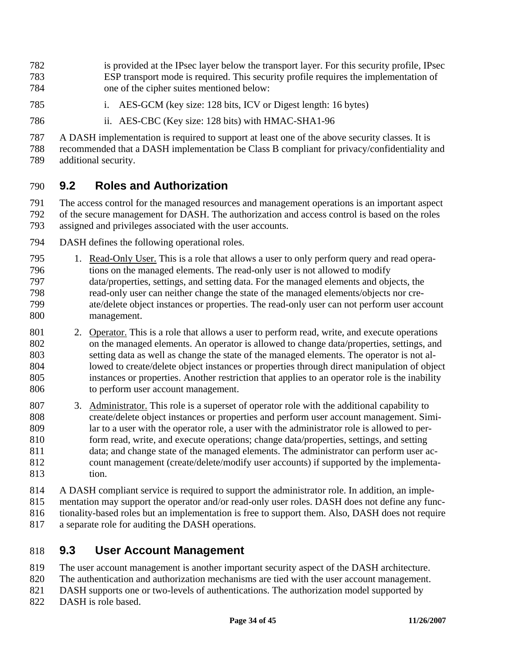782 is provided at the IPsec layer below the transport layer. For this security profile, IPsec 783 ESP transport mode is required. This security profile requires the implementation of 784 one of the cipher suites mentioned below:

- 785 i. AES-GCM (key size: 128 bits, ICV or Digest length: 16 bytes)
- 786 ii. AES-CBC (Key size: 128 bits) with HMAC-SHA1-96

787 A DASH implementation is required to support at least one of the above security classes. It is 788 recommended that a DASH implementation be Class B compliant for privacy/confidentiality and 789 additional security.

### 790 **9.2 Roles and Authorization**

791 The access control for the managed resources and management operations is an important aspect 792 of the secure management for DASH. The authorization and access control is based on the roles 793 assigned and privileges associated with the user accounts.

- 794 DASH defines the following operational roles.
- 795 1. Read-Only User. This is a role that allows a user to only perform query and read opera-796 tions on the managed elements. The read-only user is not allowed to modify 797 data/properties, settings, and setting data. For the managed elements and objects, the 798 read-only user can neither change the state of the managed elements/objects nor cre-799 ate/delete object instances or properties. The read-only user can not perform user account 800 management.
- 801 2. Operator. This is a role that allows a user to perform read, write, and execute operations 802 on the managed elements. An operator is allowed to change data/properties, settings, and 803 setting data as well as change the state of the managed elements. The operator is not al-804 lowed to create/delete object instances or properties through direct manipulation of object 805 instances or properties. Another restriction that applies to an operator role is the inability 806 to perform user account management.
- 807 3. Administrator. This role is a superset of operator role with the additional capability to 808 create/delete object instances or properties and perform user account management. Simi-809 lar to a user with the operator role, a user with the administrator role is allowed to per-810 form read, write, and execute operations; change data/properties, settings, and setting 811 data; and change state of the managed elements. The administrator can perform user ac-812 count management (create/delete/modify user accounts) if supported by the implementa-813 tion.
- 814 A DASH compliant service is required to support the administrator role. In addition, an imple-815 mentation may support the operator and/or read-only user roles. DASH does not define any func-816 tionality-based roles but an implementation is free to support them. Also, DASH does not require 817 a separate role for auditing the DASH operations.
- 818 **9.3 User Account Management**
- 819 The user account management is another important security aspect of the DASH architecture.
- 820 The authentication and authorization mechanisms are tied with the user account management.
- 821 DASH supports one or two-levels of authentications. The authorization model supported by
- 822 DASH is role based.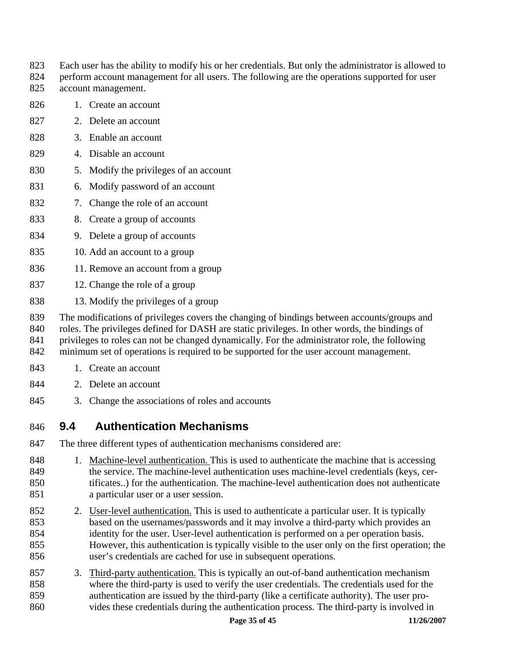- 823 Each user has the ability to modify his or her credentials. But only the administrator is allowed to
- 824 perform account management for all users. The following are the operations supported for user 825 account management.
- 826 1. Create an account
- 827 2. Delete an account
- 828 3. Enable an account
- 829 4. Disable an account
- 830 5. Modify the privileges of an account
- 831 6. Modify password of an account
- 832 7. Change the role of an account
- 833 8. Create a group of accounts
- 834 9. Delete a group of accounts
- 835 10. Add an account to a group
- 836 11. Remove an account from a group
- 837 12. Change the role of a group
- 838 13. Modify the privileges of a group

839 The modifications of privileges covers the changing of bindings between accounts/groups and

840 roles. The privileges defined for DASH are static privileges. In other words, the bindings of

841 privileges to roles can not be changed dynamically. For the administrator role, the following

842 minimum set of operations is required to be supported for the user account management.

- 843 1. Create an account
- 844 2. Delete an account
- 845 3. Change the associations of roles and accounts

## 846 **9.4 Authentication Mechanisms**

- 847 The three different types of authentication mechanisms considered are:
- 848 1. Machine-level authentication. This is used to authenticate the machine that is accessing 849 the service. The machine-level authentication uses machine-level credentials (keys, cer-850 tificates..) for the authentication. The machine-level authentication does not authenticate 851 a particular user or a user session.
- 852 2. User-level authentication. This is used to authenticate a particular user. It is typically 853 based on the usernames/passwords and it may involve a third-party which provides an 854 identity for the user. User-level authentication is performed on a per operation basis. 855 However, this authentication is typically visible to the user only on the first operation; the 856 user's credentials are cached for use in subsequent operations.
- 857 3. Third-party authentication. This is typically an out-of-band authentication mechanism 858 where the third-party is used to verify the user credentials. The credentials used for the 859 authentication are issued by the third-party (like a certificate authority). The user pro-860 vides these credentials during the authentication process. The third-party is involved in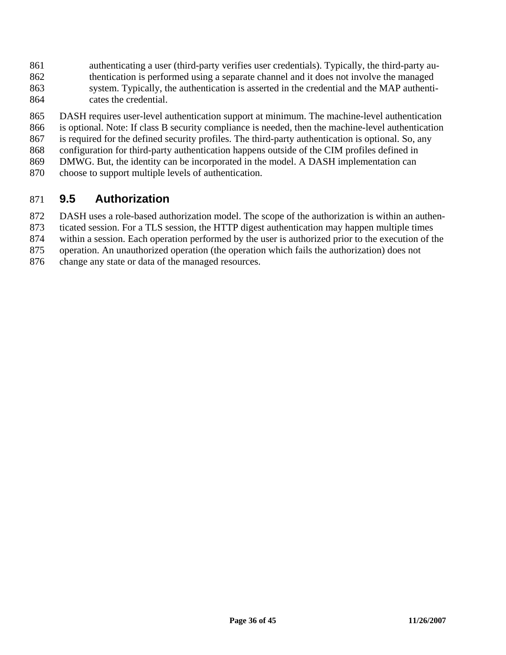- 861 authenticating a user (third-party verifies user credentials). Typically, the third-party au-862 thentication is performed using a separate channel and it does not involve the managed 863 system. Typically, the authentication is asserted in the credential and the MAP authenti-864 cates the credential.
- 865 DASH requires user-level authentication support at minimum. The machine-level authentication 866 is optional. Note: If class B security compliance is needed, then the machine-level authentication
- 867 is required for the defined security profiles. The third-party authentication is optional. So, any
- 868 configuration for third-party authentication happens outside of the CIM profiles defined in
- 869 DMWG. But, the identity can be incorporated in the model. A DASH implementation can
- 870 choose to support multiple levels of authentication.

### 871 **9.5 Authorization**

- 872 DASH uses a role-based authorization model. The scope of the authorization is within an authen-
- 873 ticated session. For a TLS session, the HTTP digest authentication may happen multiple times
- 874 within a session. Each operation performed by the user is authorized prior to the execution of the
- 875 operation. An unauthorized operation (the operation which fails the authorization) does not
- 876 change any state or data of the managed resources.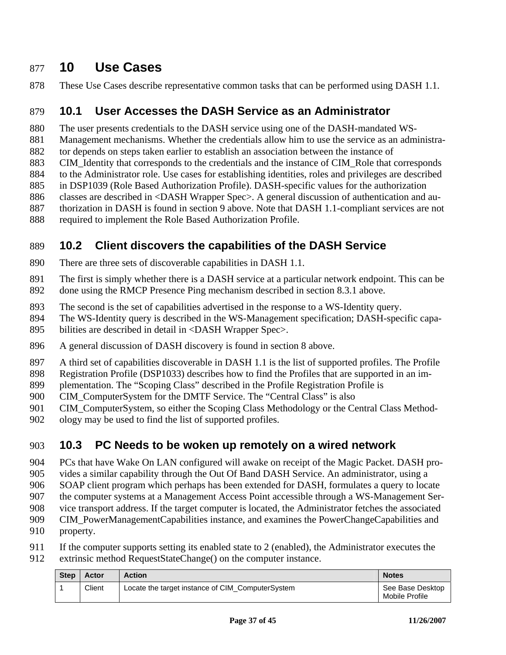## 877 **10 Use Cases**

878 These Use Cases describe representative common tasks that can be performed using DASH 1.1.

### 879 **10.1 User Accesses the DASH Service as an Administrator**

880 The user presents credentials to the DASH service using one of the DASH-mandated WS-

881 Management mechanisms. Whether the credentials allow him to use the service as an administra-

882 tor depends on steps taken earlier to establish an association between the instance of

- 883 CIM\_Identity that corresponds to the credentials and the instance of CIM\_Role that corresponds
- 884 to the Administrator role. Use cases for establishing identities, roles and privileges are described
- 885 in DSP1039 (Role Based Authorization Profile). DASH-specific values for the authorization 886 classes are described in <DASH Wrapper Spec>. A general discussion of authentication and au-
- 887 thorization in DASH is found in section 9 above. Note that DASH 1.1-compliant services are not
- 888 required to implement the Role Based Authorization Profile.

## 889 **10.2 Client discovers the capabilities of the DASH Service**

- 890 There are three sets of discoverable capabilities in DASH 1.1.
- 891 The first is simply whether there is a DASH service at a particular network endpoint. This can be
- 892 done using the RMCP Presence Ping mechanism described in section 8.3.1 above.
- 893 The second is the set of capabilities advertised in the response to a WS-Identity query.
- 894 The WS-Identity query is described in the WS-Management specification; DASH-specific capa-
- 895 bilities are described in detail in <DASH Wrapper Spec>.
- 896 A general discussion of DASH discovery is found in section 8 above.
- 897 A third set of capabilities discoverable in DASH 1.1 is the list of supported profiles. The Profile
- 898 Registration Profile (DSP1033) describes how to find the Profiles that are supported in an im-
- 899 plementation. The "Scoping Class" described in the Profile Registration Profile is
- 900 CIM ComputerSystem for the DMTF Service. The "Central Class" is also
- 901 CIM\_ComputerSystem, so either the Scoping Class Methodology or the Central Class Method-
- 902 ology may be used to find the list of supported profiles.

## 903 **10.3 PC Needs to be woken up remotely on a wired network**

904 PCs that have Wake On LAN configured will awake on receipt of the Magic Packet. DASH pro-

905 vides a similar capability through the Out Of Band DASH Service. An administrator, using a

- 906 SOAP client program which perhaps has been extended for DASH, formulates a query to locate
- 907 the computer systems at a Management Access Point accessible through a WS-Management Ser-
- 908 vice transport address. If the target computer is located, the Administrator fetches the associated
- 909 CIM PowerManagementCapabilities instance, and examines the PowerChangeCapabilities and
- 910 property.
- 911 If the computer supports setting its enabled state to 2 (enabled), the Administrator executes the 912 extrinsic method RequestStateChange() on the computer instance.

| <b>Step</b> | Actor  | <b>Action</b>                                    | <b>Notes</b>                       |
|-------------|--------|--------------------------------------------------|------------------------------------|
|             | Client | Locate the target instance of CIM ComputerSystem | See Base Desktop<br>Mobile Profile |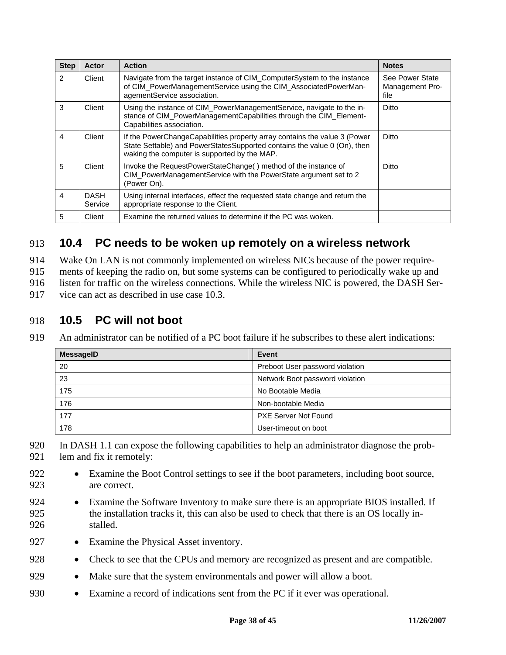| <b>Step</b>    | Actor                  | <b>Action</b>                                                                                                                                                                                         | <b>Notes</b>                               |
|----------------|------------------------|-------------------------------------------------------------------------------------------------------------------------------------------------------------------------------------------------------|--------------------------------------------|
| $\overline{2}$ | Client                 | Navigate from the target instance of CIM_ComputerSystem to the instance<br>of CIM_PowerManagementService using the CIM_AssociatedPowerMan-<br>agementService association.                             | See Power State<br>Management Pro-<br>file |
| 3              | Client                 | Using the instance of CIM_PowerManagementService, navigate to the in-<br>stance of CIM_PowerManagementCapabilities through the CIM_Element-<br>Capabilities association.                              | Ditto                                      |
| 4              | Client                 | If the PowerChangeCapabilities property array contains the value 3 (Power<br>State Settable) and PowerStatesSupported contains the value 0 (On), then<br>waking the computer is supported by the MAP. | Ditto                                      |
| 5              | Client                 | Invoke the RequestPowerStateChange() method of the instance of<br>CIM_PowerManagementService with the PowerState argument set to 2<br>(Power On).                                                     | Ditto                                      |
| 4              | <b>DASH</b><br>Service | Using internal interfaces, effect the requested state change and return the<br>appropriate response to the Client.                                                                                    |                                            |
| 5              | Client                 | Examine the returned values to determine if the PC was woken.                                                                                                                                         |                                            |

## 913 **10.4 PC needs to be woken up remotely on a wireless network**

914 Wake On LAN is not commonly implemented on wireless NICs because of the power require-

915 ments of keeping the radio on, but some systems can be configured to periodically wake up and

916 listen for traffic on the wireless connections. While the wireless NIC is powered, the DASH Ser-

917 vice can act as described in use case 10.3.

### 918 **10.5 PC will not boot**

919 An administrator can be notified of a PC boot failure if he subscribes to these alert indications:

| <b>MessageID</b> | Event                           |
|------------------|---------------------------------|
| 20               | Preboot User password violation |
| 23               | Network Boot password violation |
| 175              | No Bootable Media               |
| 176              | Non-bootable Media              |
| 177              | <b>PXE Server Not Found</b>     |
| 178              | User-timeout on boot            |

920 In DASH 1.1 can expose the following capabilities to help an administrator diagnose the prob-921 lem and fix it remotely:

- 922 Examine the Boot Control settings to see if the boot parameters, including boot source, 923 are correct.
- 924 Examine the Software Inventory to make sure there is an appropriate BIOS installed. If 925 the installation tracks it, this can also be used to check that there is an OS locally in-926 stalled.
- 927 Examine the Physical Asset inventory.
- 928 Check to see that the CPUs and memory are recognized as present and are compatible.
- 929 Make sure that the system environmentals and power will allow a boot.
- 930 Examine a record of indications sent from the PC if it ever was operational.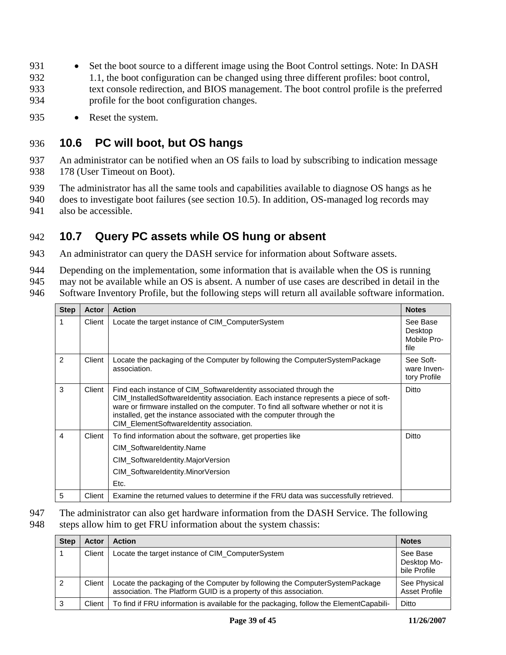- 931 Set the boot source to a different image using the Boot Control settings. Note: In DASH 932 1.1, the boot configuration can be changed using three different profiles: boot control, 933 text console redirection, and BIOS management. The boot control profile is the preferred 934 profile for the boot configuration changes.
- 935 Reset the system.

### 936 **10.6 PC will boot, but OS hangs**

- 937 An administrator can be notified when an OS fails to load by subscribing to indication message 938 178 (User Timeout on Boot).
- 939 The administrator has all the same tools and capabilities available to diagnose OS hangs as he
- 940 does to investigate boot failures (see section 10.5). In addition, OS-managed log records may 941 also be accessible.

### 942 **10.7 Query PC assets while OS hung or absent**

- 943 An administrator can query the DASH service for information about Software assets.
- 944 Depending on the implementation, some information that is available when the OS is running
- 945 may not be available while an OS is absent. A number of use cases are described in detail in the
- 946 Software Inventory Profile, but the following steps will return all available software information.

| <b>Step</b>    | Actor  | <b>Action</b>                                                                                                                                                                                                                                                                                                                                                           | <b>Notes</b>                               |
|----------------|--------|-------------------------------------------------------------------------------------------------------------------------------------------------------------------------------------------------------------------------------------------------------------------------------------------------------------------------------------------------------------------------|--------------------------------------------|
|                | Client | Locate the target instance of CIM_ComputerSystem                                                                                                                                                                                                                                                                                                                        | See Base<br>Desktop<br>Mobile Pro-<br>file |
| 2              | Client | Locate the packaging of the Computer by following the ComputerSystemPackage<br>association.                                                                                                                                                                                                                                                                             | See Soft-<br>ware Inven-<br>tory Profile   |
| 3              | Client | Find each instance of CIM_SoftwareIdentity associated through the<br>CIM Installed Softwareldentity association. Each instance represents a piece of soft-<br>ware or firmware installed on the computer. To find all software whether or not it is<br>installed, get the instance associated with the computer through the<br>CIM_ElementSoftwareIdentity association. | Ditto                                      |
| $\overline{4}$ | Client | To find information about the software, get properties like<br>CIM SoftwareIdentity.Name<br>CIM_SoftwareIdentity.MajorVersion<br>CIM_SoftwareIdentity.MinorVersion<br>Etc.                                                                                                                                                                                              | Ditto                                      |
| 5              | Client | Examine the returned values to determine if the FRU data was successfully retrieved.                                                                                                                                                                                                                                                                                    |                                            |

947 The administrator can also get hardware information from the DASH Service. The following

948 steps allow him to get FRU information about the system chassis:

| <b>Step</b> | Actor  | <b>Action</b>                                                                                                                                    | <b>Notes</b>                            |
|-------------|--------|--------------------------------------------------------------------------------------------------------------------------------------------------|-----------------------------------------|
|             | Client | Locate the target instance of CIM_ComputerSystem                                                                                                 | See Base<br>Desktop Mo-<br>bile Profile |
|             | Client | Locate the packaging of the Computer by following the ComputerSystemPackage<br>association. The Platform GUID is a property of this association. | See Physical<br><b>Asset Profile</b>    |
| 3           | Client | To find if FRU information is available for the packaging, follow the ElementCapabili-                                                           | Ditto                                   |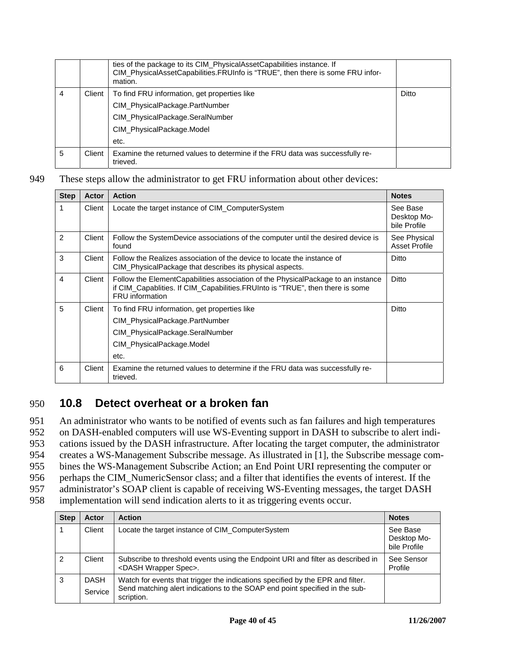|   |        | ties of the package to its CIM_PhysicalAssetCapabilities instance. If<br>CIM_PhysicalAssetCapabilities.FRUInfo is "TRUE", then there is some FRU infor-<br>mation. |       |
|---|--------|--------------------------------------------------------------------------------------------------------------------------------------------------------------------|-------|
| 4 | Client | To find FRU information, get properties like                                                                                                                       | Ditto |
|   |        | CIM_PhysicalPackage.PartNumber                                                                                                                                     |       |
|   |        | CIM_PhysicalPackage.SeralNumber                                                                                                                                    |       |
|   |        | CIM_PhysicalPackage.Model                                                                                                                                          |       |
|   |        | etc.                                                                                                                                                               |       |
| 5 | Client | Examine the returned values to determine if the FRU data was successfully re-<br>trieved.                                                                          |       |

949 These steps allow the administrator to get FRU information about other devices:

| <b>Step</b> | Actor  | <b>Action</b>                                                                                                                                                                         | <b>Notes</b>                            |
|-------------|--------|---------------------------------------------------------------------------------------------------------------------------------------------------------------------------------------|-----------------------------------------|
| 1           | Client | Locate the target instance of CIM_ComputerSystem                                                                                                                                      | See Base<br>Desktop Mo-<br>bile Profile |
| 2           | Client | Follow the SystemDevice associations of the computer until the desired device is<br>found                                                                                             | See Physical<br><b>Asset Profile</b>    |
| 3           | Client | Follow the Realizes association of the device to locate the instance of<br>CIM PhysicalPackage that describes its physical aspects.                                                   | Ditto                                   |
| 4           | Client | Follow the ElementCapabilities association of the PhysicalPackage to an instance<br>if CIM_Capablities. If CIM_Capabilities. FRUInto is "TRUE", then there is some<br>FRU information | Ditto                                   |
| 5           | Client | To find FRU information, get properties like                                                                                                                                          | Ditto                                   |
|             |        | CIM_PhysicalPackage.PartNumber                                                                                                                                                        |                                         |
|             |        | CIM_PhysicalPackage.SeralNumber                                                                                                                                                       |                                         |
|             |        | CIM PhysicalPackage.Model                                                                                                                                                             |                                         |
|             |        | etc.                                                                                                                                                                                  |                                         |
| 6           | Client | Examine the returned values to determine if the FRU data was successfully re-<br>trieved.                                                                                             |                                         |

### 950 **10.8 Detect overheat or a broken fan**

951 An administrator who wants to be notified of events such as fan failures and high temperatures 952 on DASH-enabled computers will use WS-Eventing support in DASH to subscribe to alert indi-953 cations issued by the DASH infrastructure. After locating the target computer, the administrator 954 creates a WS-Management Subscribe message. As illustrated in [1], the Subscribe message com-955 bines the WS-Management Subscribe Action; an End Point URI representing the computer or 956 perhaps the CIM\_NumericSensor class; and a filter that identifies the events of interest. If the 957 administrator's SOAP client is capable of receiving WS-Eventing messages, the target DASH 958 implementation will send indication alerts to it as triggering events occur.

| <b>Step</b> | <b>Actor</b>           | <b>Action</b>                                                                                                                                                               | <b>Notes</b>                            |
|-------------|------------------------|-----------------------------------------------------------------------------------------------------------------------------------------------------------------------------|-----------------------------------------|
|             | Client                 | Locate the target instance of CIM_ComputerSystem                                                                                                                            | See Base<br>Desktop Mo-<br>bile Profile |
|             | Client                 | Subscribe to threshold events using the Endpoint URI and filter as described in<br><dash spec="" wrapper="">.</dash>                                                        | See Sensor<br>Profile                   |
| 3           | <b>DASH</b><br>Service | Watch for events that trigger the indications specified by the EPR and filter.<br>Send matching alert indications to the SOAP end point specified in the sub-<br>scription. |                                         |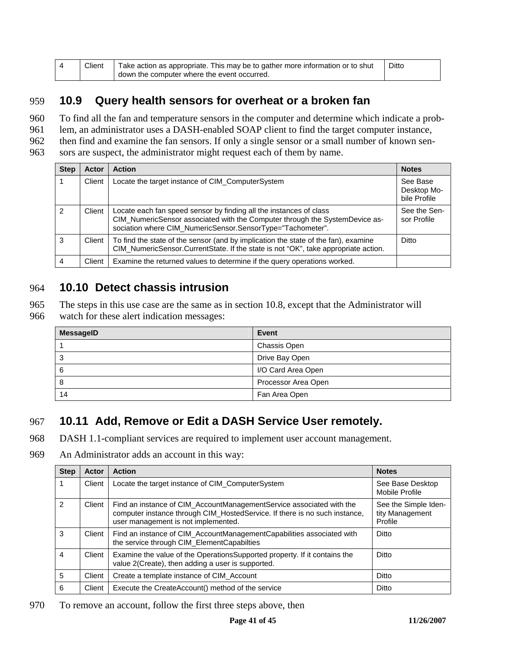| Client | Take action as appropriate. This may be to gather more information or to shut | Ditto |
|--------|-------------------------------------------------------------------------------|-------|
|        | down the computer where the event occurred.                                   |       |

### 959 **10.9 Query health sensors for overheat or a broken fan**

960 To find all the fan and temperature sensors in the computer and determine which indicate a prob-

961 lem, an administrator uses a DASH-enabled SOAP client to find the target computer instance,

962 then find and examine the fan sensors. If only a single sensor or a small number of known sen-

963 sors are suspect, the administrator might request each of them by name.

| <b>Step</b> | <b>Actor</b> | <b>Action</b>                                                                                                                                                                                                   | <b>Notes</b>                            |
|-------------|--------------|-----------------------------------------------------------------------------------------------------------------------------------------------------------------------------------------------------------------|-----------------------------------------|
|             | Client       | Locate the target instance of CIM_ComputerSystem                                                                                                                                                                | See Base<br>Desktop Mo-<br>bile Profile |
| 2           | Client       | Locate each fan speed sensor by finding all the instances of class<br>CIM_NumericSensor associated with the Computer through the SystemDevice as-<br>sociation where CIM_NumericSensor.SensorType="Tachometer". | See the Sen-<br>sor Profile             |
| 3           | Client       | To find the state of the sensor (and by implication the state of the fan), examine<br>CIM_NumericSensor.CurrentState. If the state is not "OK", take appropriate action.                                        | Ditto                                   |
| 4           | Client       | Examine the returned values to determine if the query operations worked.                                                                                                                                        |                                         |

## 964 **10.10 Detect chassis intrusion**

965 The steps in this use case are the same as in section 10.8, except that the Administrator will

966 watch for these alert indication messages:

| <b>MessageID</b> | Event               |
|------------------|---------------------|
|                  | Chassis Open        |
| ×.               | Drive Bay Open      |
| 6                | I/O Card Area Open  |
|                  | Processor Area Open |
| 14               | Fan Area Open       |

## 967 **10.11 Add, Remove or Edit a DASH Service User remotely.**

968 DASH 1.1-compliant services are required to implement user account management.

969 An Administrator adds an account in this way:

| <b>Step</b> | Actor  | <b>Action</b>                                                                                                                                                                             | <b>Notes</b>                                       |
|-------------|--------|-------------------------------------------------------------------------------------------------------------------------------------------------------------------------------------------|----------------------------------------------------|
|             | Client | Locate the target instance of CIM_ComputerSystem                                                                                                                                          | See Base Desktop<br>Mobile Profile                 |
| 2           | Client | Find an instance of CIM_AccountManagementService associated with the<br>computer instance through CIM_HostedService. If there is no such instance,<br>user management is not implemented. | See the Simple Iden-<br>tity Management<br>Profile |
| 3           | Client | Find an instance of CIM_AccountManagementCapabilities associated with<br>the service through CIM_ElementCapabilties                                                                       | Ditto                                              |
| 4           | Client | Examine the value of the Operations Supported property. If it contains the<br>value 2(Create), then adding a user is supported.                                                           | Ditto                                              |
| 5           | Client | Create a template instance of CIM Account                                                                                                                                                 | Ditto                                              |
| 6           | Client | Execute the CreateAccount() method of the service                                                                                                                                         | Ditto                                              |

970 To remove an account, follow the first three steps above, then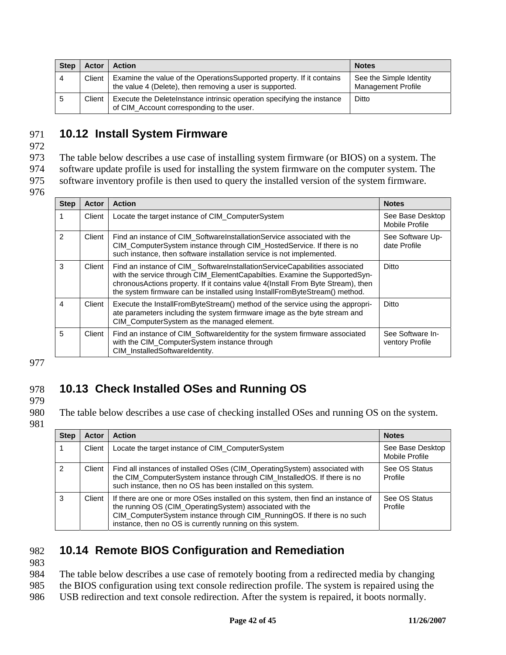| <b>Step</b> | Actor  | <b>Action</b>                                                                                                                     | <b>Notes</b>                                         |
|-------------|--------|-----------------------------------------------------------------------------------------------------------------------------------|------------------------------------------------------|
|             | Client | Examine the value of the OperationsSupported property. If it contains<br>the value 4 (Delete), then removing a user is supported. | See the Simple Identity<br><b>Management Profile</b> |
|             | Client | Execute the DeleteInstance intrinsic operation specifying the instance<br>of CIM_Account corresponding to the user.               | Ditto                                                |

### 971 **10.12 Install System Firmware**

972

973 The table below describes a use case of installing system firmware (or BIOS) on a system. The

974 software update profile is used for installing the system firmware on the computer system. The

975 software inventory profile is then used to query the installed version of the system firmware.

976

| <b>Step</b>    | Actor  | <b>Action</b>                                                                                                                                                                                                                                                                                                              | <b>Notes</b>                        |
|----------------|--------|----------------------------------------------------------------------------------------------------------------------------------------------------------------------------------------------------------------------------------------------------------------------------------------------------------------------------|-------------------------------------|
|                | Client | Locate the target instance of CIM_ComputerSystem                                                                                                                                                                                                                                                                           | See Base Desktop<br>Mobile Profile  |
| $\mathcal{P}$  | Client | Find an instance of CIM Software Installation Service associated with the<br>CIM_ComputerSystem instance through CIM_HostedService. If there is no<br>such instance, then software installation service is not implemented.                                                                                                | See Software Up-<br>date Profile    |
| 3              | Client | Find an instance of CIM_SoftwareInstallationServiceCapabilities associated<br>with the service through CIM_ElementCapabilties. Examine the SupportedSyn-<br>chronousActions property. If it contains value 4(Install From Byte Stream), then<br>the system firmware can be installed using InstallFromByteStream() method. | Ditto                               |
| $\overline{4}$ | Client | Execute the InstallFromByteStream() method of the service using the appropri-<br>ate parameters including the system firmware image as the byte stream and<br>CIM_ComputerSystem as the managed element.                                                                                                                   | Ditto                               |
| 5              | Client | Find an instance of CIM_SoftwareIdentity for the system firmware associated<br>with the CIM_ComputerSystem instance through<br>CIM_InstalledSoftwareIdentity.                                                                                                                                                              | See Software In-<br>ventory Profile |

977

## 978 **10.13 Check Installed OSes and Running OS**

979

980 The table below describes a use case of checking installed OSes and running OS on the system.

981

| <b>Step</b> | Actor  | <b>Action</b>                                                                                                                                                                                                                                                                       | <b>Notes</b>                       |
|-------------|--------|-------------------------------------------------------------------------------------------------------------------------------------------------------------------------------------------------------------------------------------------------------------------------------------|------------------------------------|
|             | Client | Locate the target instance of CIM_ComputerSystem                                                                                                                                                                                                                                    | See Base Desktop<br>Mobile Profile |
| 2           | Client | Find all instances of installed OSes (CIM_OperatingSystem) associated with<br>the CIM_ComputerSystem instance through CIM_InstalledOS. If there is no<br>such instance, then no OS has been installed on this system.                                                               | See OS Status<br>Profile           |
| 3           | Client | If there are one or more OSes installed on this system, then find an instance of<br>the running OS (CIM_OperatingSystem) associated with the<br>CIM_ComputerSystem instance through CIM_RunningOS. If there is no such<br>instance, then no OS is currently running on this system. | See OS Status<br>Profile           |

## 982 **10.14 Remote BIOS Configuration and Remediation**

983

984 The table below describes a use case of remotely booting from a redirected media by changing 985 the BIOS configuration using text console redirection profile. The system is repaired using the

986 USB redirection and text console redirection. After the system is repaired, it boots normally.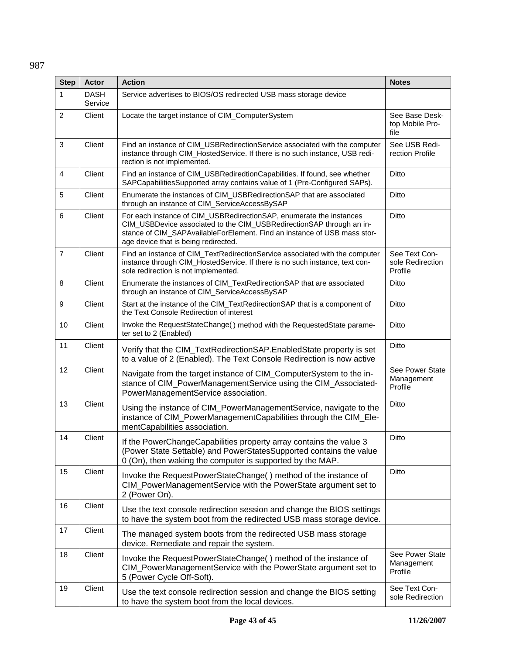### 987

| <b>Step</b>    | <b>Actor</b>           | <b>Action</b>                                                                                                                                                                                                                                                   | <b>Notes</b>                                 |
|----------------|------------------------|-----------------------------------------------------------------------------------------------------------------------------------------------------------------------------------------------------------------------------------------------------------------|----------------------------------------------|
| $\mathbf{1}$   | <b>DASH</b><br>Service | Service advertises to BIOS/OS redirected USB mass storage device                                                                                                                                                                                                |                                              |
| $\overline{c}$ | Client                 | Locate the target instance of CIM_ComputerSystem                                                                                                                                                                                                                | See Base Desk-<br>top Mobile Pro-<br>file    |
| 3              | Client                 | Find an instance of CIM_USBRedirectionService associated with the computer<br>instance through CIM_HostedService. If there is no such instance, USB redi-<br>rection is not implemented.                                                                        | See USB Redi-<br>rection Profile             |
| $\overline{4}$ | Client                 | Find an instance of CIM_USBRediredtionCapabilities. If found, see whether<br>SAPCapabilitiesSupported array contains value of 1 (Pre-Configured SAPs).                                                                                                          | <b>Ditto</b>                                 |
| 5              | Client                 | Enumerate the instances of CIM_USBRedirectionSAP that are associated<br>through an instance of CIM_ServiceAccessBySAP                                                                                                                                           | <b>Ditto</b>                                 |
| $\,6\,$        | Client                 | For each instance of CIM_USBRedirectionSAP, enumerate the instances<br>CIM_USBDevice associated to the CIM_USBRedirectionSAP through an in-<br>stance of CIM_SAPAvailableForElement. Find an instance of USB mass stor-<br>age device that is being redirected. | Ditto                                        |
| $\overline{7}$ | Client                 | Find an instance of CIM_TextRedirectionService associated with the computer<br>instance through CIM_HostedService. If there is no such instance, text con-<br>sole redirection is not implemented.                                                              | See Text Con-<br>sole Redirection<br>Profile |
| 8              | Client                 | Enumerate the instances of CIM_TextRedirectionSAP that are associated<br>through an instance of CIM_ServiceAccessBySAP                                                                                                                                          | Ditto                                        |
| 9              | Client                 | Start at the instance of the CIM_TextRedirectionSAP that is a component of<br>the Text Console Redirection of interest                                                                                                                                          | Ditto                                        |
| 10             | Client                 | Invoke the RequestStateChange() method with the RequestedState parame-<br>ter set to 2 (Enabled)                                                                                                                                                                | Ditto                                        |
| 11             | Client                 | Verify that the CIM_TextRedirectionSAP.EnabledState property is set<br>to a value of 2 (Enabled). The Text Console Redirection is now active                                                                                                                    | <b>Ditto</b>                                 |
| 12             | Client                 | Navigate from the target instance of CIM_ComputerSystem to the in-<br>stance of CIM_PowerManagementService using the CIM_Associated-<br>PowerManagementService association.                                                                                     | See Power State<br>Management<br>Profile     |
| 13             | Client                 | Using the instance of CIM_PowerManagementService, navigate to the<br>instance of CIM_PowerManagementCapabilities through the CIM_Ele-<br>mentCapabilities association.                                                                                          | Ditto                                        |
| 14             | Client                 | If the PowerChangeCapabilities property array contains the value 3<br>(Power State Settable) and PowerStatesSupported contains the value<br>0 (On), then waking the computer is supported by the MAP.                                                           | <b>Ditto</b>                                 |
| 15             | Client                 | Invoke the RequestPowerStateChange() method of the instance of<br>CIM_PowerManagementService with the PowerState argument set to<br>2 (Power On).                                                                                                               | Ditto                                        |
| 16             | Client                 | Use the text console redirection session and change the BIOS settings<br>to have the system boot from the redirected USB mass storage device.                                                                                                                   |                                              |
| 17             | Client                 | The managed system boots from the redirected USB mass storage<br>device. Remediate and repair the system.                                                                                                                                                       |                                              |
| 18             | Client                 | Invoke the RequestPowerStateChange() method of the instance of<br>CIM_PowerManagementService with the PowerState argument set to<br>5 (Power Cycle Off-Soft).                                                                                                   | See Power State<br>Management<br>Profile     |
| 19             | Client                 | Use the text console redirection session and change the BIOS setting<br>to have the system boot from the local devices.                                                                                                                                         | See Text Con-<br>sole Redirection            |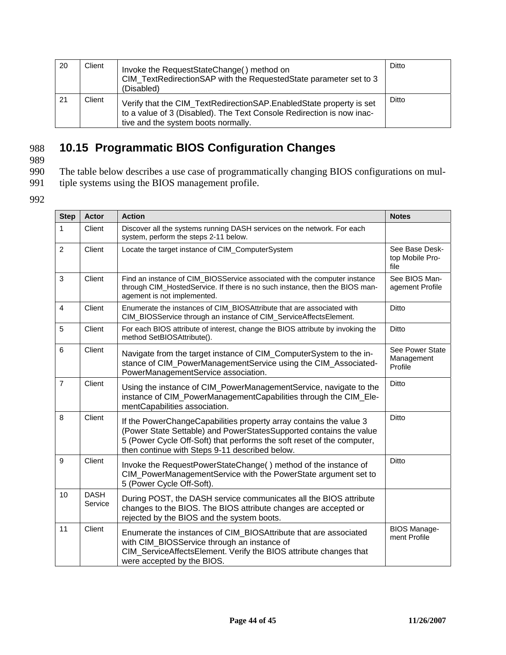| 20  | Client | Invoke the RequestStateChange() method on<br>CIM TextRedirectionSAP with the RequestedState parameter set to 3<br>(Disabled)                                                        | Ditto |
|-----|--------|-------------------------------------------------------------------------------------------------------------------------------------------------------------------------------------|-------|
| -21 | Client | Verify that the CIM_TextRedirectionSAP.EnabledState property is set<br>to a value of 3 (Disabled). The Text Console Redirection is now inac-<br>tive and the system boots normally. | Ditto |

## 988 **10.15 Programmatic BIOS Configuration Changes**

989

- 990 The table below describes a use case of programmatically changing BIOS configurations on mul-<br>991 tiple systems using the BIOS management profile.
- tiple systems using the BIOS management profile.
- 992

| <b>Step</b>     | <b>Actor</b>           | <b>Action</b>                                                                                                                                                                                                                                                        | <b>Notes</b>                              |
|-----------------|------------------------|----------------------------------------------------------------------------------------------------------------------------------------------------------------------------------------------------------------------------------------------------------------------|-------------------------------------------|
| $\mathbf{1}$    | Client                 | Discover all the systems running DASH services on the network. For each<br>system, perform the steps 2-11 below.                                                                                                                                                     |                                           |
| $\overline{2}$  | Client                 | Locate the target instance of CIM_ComputerSystem                                                                                                                                                                                                                     | See Base Desk-<br>top Mobile Pro-<br>file |
| 3               | Client                 | Find an instance of CIM_BIOSService associated with the computer instance<br>through CIM_HostedService. If there is no such instance, then the BIOS man-<br>agement is not implemented.                                                                              | See BIOS Man-<br>agement Profile          |
| $\overline{4}$  | Client                 | Enumerate the instances of CIM_BIOSAttribute that are associated with<br>CIM_BIOSService through an instance of CIM_ServiceAffectsElement.                                                                                                                           | Ditto                                     |
| 5               | Client                 | For each BIOS attribute of interest, change the BIOS attribute by invoking the<br>method SetBIOSAttribute().                                                                                                                                                         | Ditto                                     |
| 6               | Client                 | Navigate from the target instance of CIM_ComputerSystem to the in-<br>stance of CIM PowerManagementService using the CIM Associated-<br>PowerManagementService association.                                                                                          | See Power State<br>Management<br>Profile  |
| $\overline{7}$  | Client                 | Using the instance of CIM_PowerManagementService, navigate to the<br>instance of CIM_PowerManagementCapabilities through the CIM_Ele-<br>mentCapabilities association.                                                                                               | Ditto                                     |
| 8               | Client                 | If the PowerChangeCapabilities property array contains the value 3<br>(Power State Settable) and PowerStatesSupported contains the value<br>5 (Power Cycle Off-Soft) that performs the soft reset of the computer,<br>then continue with Steps 9-11 described below. | Ditto                                     |
| 9               | Client                 | Invoke the RequestPowerStateChange() method of the instance of<br>CIM_PowerManagementService with the PowerState argument set to<br>5 (Power Cycle Off-Soft).                                                                                                        | Ditto                                     |
| 10 <sup>°</sup> | <b>DASH</b><br>Service | During POST, the DASH service communicates all the BIOS attribute<br>changes to the BIOS. The BIOS attribute changes are accepted or<br>rejected by the BIOS and the system boots.                                                                                   |                                           |
| 11              | Client                 | Enumerate the instances of CIM_BIOSAttribute that are associated<br>with CIM_BIOSService through an instance of<br>CIM_ServiceAffectsElement. Verify the BIOS attribute changes that<br>were accepted by the BIOS.                                                   | <b>BIOS Manage-</b><br>ment Profile       |